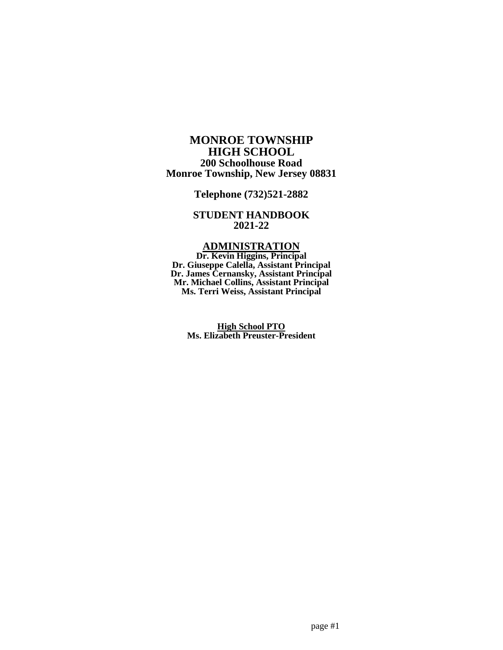## **MONROE TOWNSHIP HIGH SCHOOL 200 Schoolhouse Road Monroe Township, New Jersey 08831**

**Telephone (732)521-2882**

## **STUDENT HANDBOOK 2021-22**

## **ADMINISTRATION**

**Dr. Kevin Higgins, Principal Dr. Giuseppe Calella, Assistant Principal Dr. James Cernansky, Assistant Principal Mr. Michael Collins, Assistant Principal Ms. Terri Weiss, Assistant Principal**

> **High School PTO Ms. Elizabeth Preuster-President**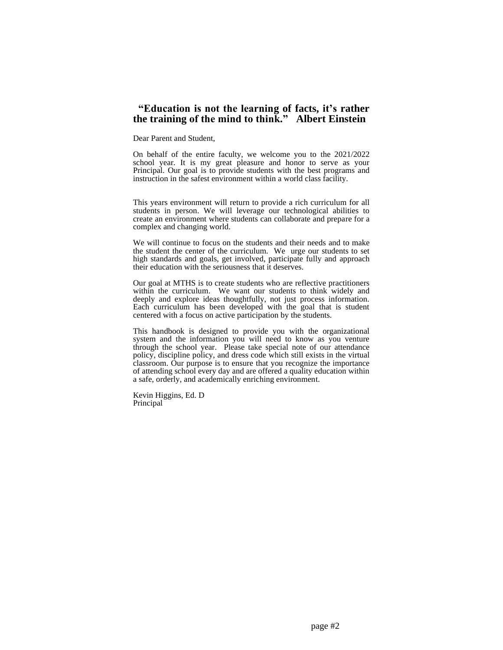## **"Education is not the learning of facts, it's rather the training of the mind to think." Albert Einstein**

Dear Parent and Student,

On behalf of the entire faculty, we welcome you to the 2021/2022 school year. It is my great pleasure and honor to serve as your Principal. Our goal is to provide students with the best programs and instruction in the safest environment within a world class facility.

This years environment will return to provide a rich curriculum for all students in person. We will leverage our technological abilities to create an environment where students can collaborate and prepare for a complex and changing world.

We will continue to focus on the students and their needs and to make the student the center of the curriculum. We urge our students to set high standards and goals, get involved, participate fully and approach their education with the seriousness that it deserves.

Our goal at MTHS is to create students who are reflective practitioners within the curriculum. We want our students to think widely and deeply and explore ideas thoughtfully, not just process information. Each curriculum has been developed with the goal that is student centered with a focus on active participation by the students.

This handbook is designed to provide you with the organizational system and the information you will need to know as you venture through the school year. Please take special note of our attendance policy, discipline policy, and dress code which still exists in the virtual classroom. Our purpose is to ensure that you recognize the importance of attending school every day and are offered a quality education within a safe, orderly, and academically enriching environment.

Kevin Higgins, Ed. D Principal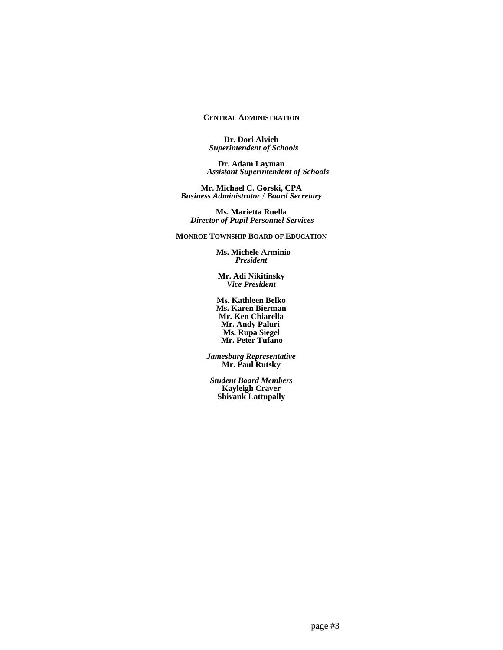## **CENTRAL ADMINISTRATION**

**Dr. Dori Alvich**  *Superintendent of Schools*

**Dr. Adam Layman**  *Assistant Superintendent of Schools*

**Mr. Michael C. Gorski, CPA** *Business Administrator* / *Board Secretary*

**Ms. Marietta Ruella** *Director of Pupil Personnel Services*

**MONROE TOWNSHIP BOARD OF EDUCATION**

 **Ms. Michele Arminio** *President*

**Mr. Adi Nikitinsky** *Vice President*

**Ms. Kathleen Belko Ms. Karen Bierman Mr. Ken Chiarella Mr. Andy Paluri Ms. Rupa Siegel Mr. Peter Tufano** 

*Jamesburg Representative* **Mr. Paul Rutsky**

*Student Board Members* **Kayleigh Craver Shivank Lattupally**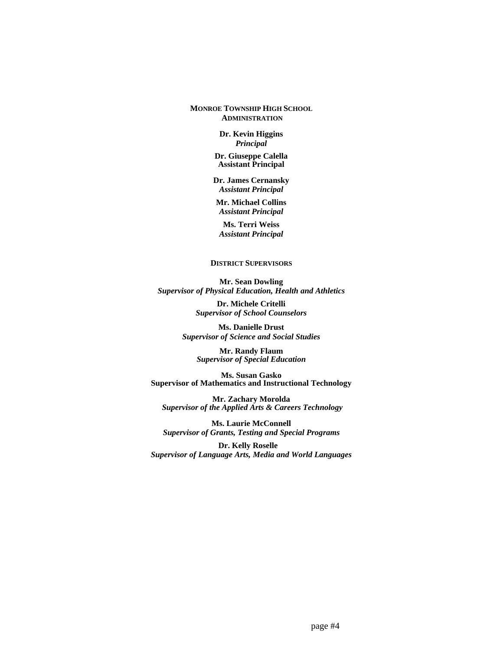## **MONROE TOWNSHIP HIGH SCHOOL ADMINISTRATION**

 **Dr. Kevin Higgins** *Principal*

**Dr. Giuseppe Calella Assistant Principal**

**Dr. James Cernansky** *Assistant Principal*

**Mr. Michael Collins** *Assistant Principal*

**Ms. Terri Weiss** *Assistant Principal*

#### **DISTRICT SUPERVISORS**

**Mr. Sean Dowling** *Supervisor of Physical Education, Health and Athletics* 

> **Dr. Michele Critelli** *Supervisor of School Counselors*

**Ms. Danielle Drust** *Supervisor of Science and Social Studies*

> **Mr. Randy Flaum**  *Supervisor of Special Education*

**Ms. Susan Gasko Supervisor of Mathematics and Instructional Technology**

**Mr. Zachary Morolda**  *Supervisor of the Applied Arts & Careers Technology*

**Ms. Laurie McConnell** *Supervisor of Grants, Testing and Special Programs*

 **Dr. Kelly Roselle** *Supervisor of Language Arts, Media and World Languages*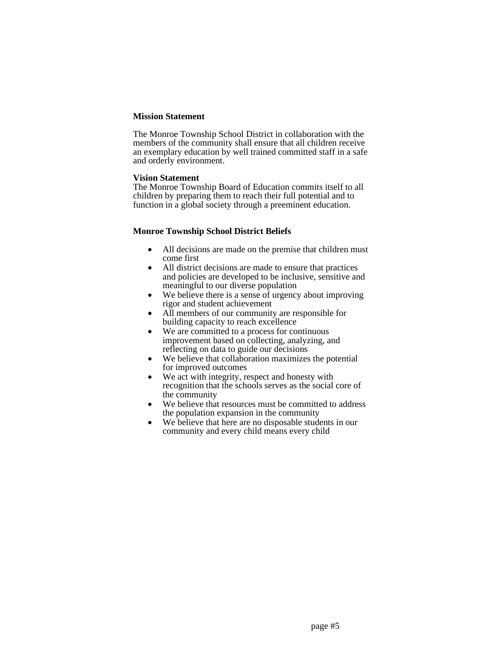## **Mission Statement**

The Monroe Township School District in collaboration with the members of the community shall ensure that all children receive an exemplary education by well trained committed staff in a safe and orderly environment.

## **Vision Statement**

The Monroe Township Board of Education commits itself to all children by preparing them to reach their full potential and to function in a global society through a preeminent education.

## **Monroe Township School District Beliefs**

- All decisions are made on the premise that children must come first
- All district decisions are made to ensure that practices and policies are developed to be inclusive, sensitive and meaningful to our diverse population
- We believe there is a sense of urgency about improving rigor and student achievement
- All members of our community are responsible for building capacity to reach excellence
- We are committed to a process for continuous improvement based on collecting, analyzing, and reflecting on data to guide our decisions
- We believe that collaboration maximizes the potential for improved outcomes
- We act with integrity, respect and honesty with recognition that the schools serves as the social core of the community
- We believe that resources must be committed to address the population expansion in the community
- We believe that here are no disposable students in our community and every child means every child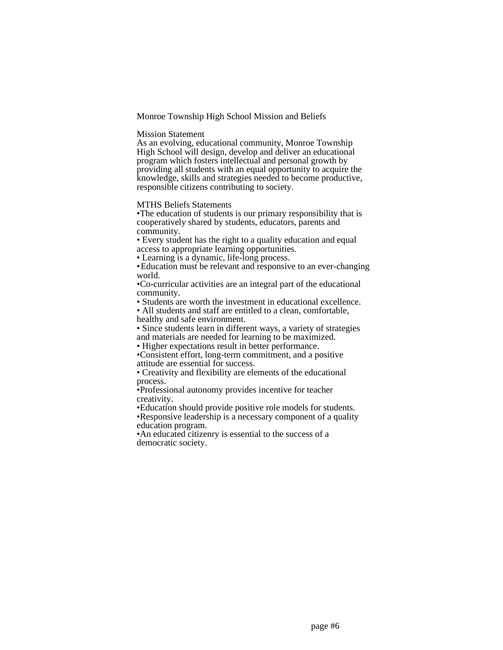Monroe Township High School Mission and Beliefs

#### Mission Statement

As an evolving, educational community, Monroe Township High School will design, develop and deliver an educational program which fosters intellectual and personal growth by providing all students with an equal opportunity to acquire the knowledge, skills and strategies needed to become productive, responsible citizens contributing to society.

MTHS Beliefs Statements

•The education of students is our primary responsibility that is cooperatively shared by students, educators, parents and community.

• Every student has the right to a quality education and equal access to appropriate learning opportunities.

• Learning is a dynamic, life-long process.

•Education must be relevant and responsive to an ever-changing world.

•Co-curricular activities are an integral part of the educational community.

• Students are worth the investment in educational excellence.

• All students and staff are entitled to a clean, comfortable, healthy and safe environment.

• Since students learn in different ways, a variety of strategies and materials are needed for learning to be maximized.

• Higher expectations result in better performance.

•Consistent effort, long-term commitment, and a positive attitude are essential for success.

• Creativity and flexibility are elements of the educational process.

•Professional autonomy provides incentive for teacher creativity.

•Education should provide positive role models for students. •Responsive leadership is a necessary component of a quality education program.

•An educated citizenry is essential to the success of a democratic society.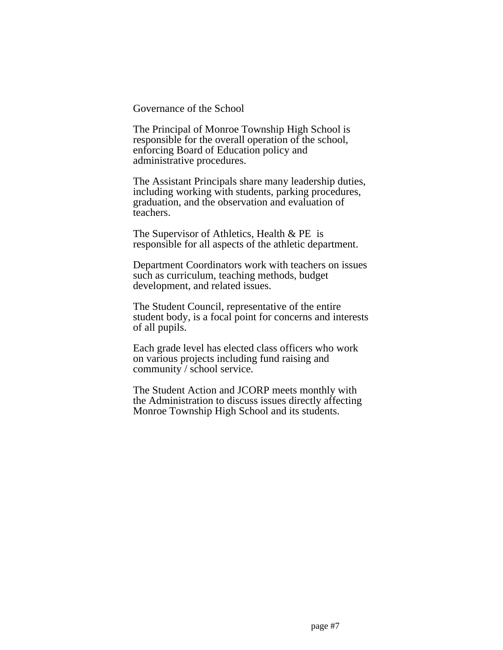Governance of the School

The Principal of Monroe Township High School is responsible for the overall operation of the school, enforcing Board of Education policy and administrative procedures.

The Assistant Principals share many leadership duties, including working with students, parking procedures, graduation, and the observation and evaluation of teachers.

The Supervisor of Athletics, Health & PE is responsible for all aspects of the athletic department.

Department Coordinators work with teachers on issues such as curriculum, teaching methods, budget development, and related issues.

The Student Council, representative of the entire student body, is a focal point for concerns and interests of all pupils.

Each grade level has elected class officers who work on various projects including fund raising and community / school service.

The Student Action and JCORP meets monthly with the Administration to discuss issues directly affecting Monroe Township High School and its students.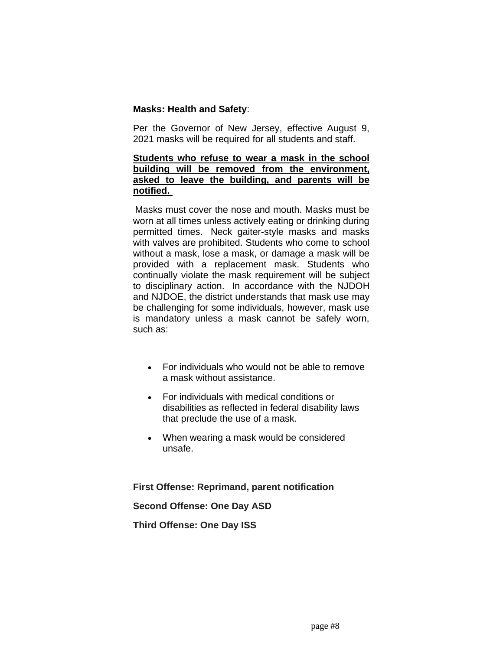## **Masks: Health and Safety**:

Per the Governor of New Jersey, effective August 9, 2021 masks will be required for all students and staff.

## **Students who refuse to wear a mask in the school building will be removed from the environment, asked to leave the building, and parents will be notified.**

Masks must cover the nose and mouth. Masks must be worn at all times unless actively eating or drinking during permitted times. Neck gaiter-style masks and masks with valves are prohibited. Students who come to school without a mask, lose a mask, or damage a mask will be provided with a replacement mask. Students who continually violate the mask requirement will be subject to disciplinary action. In accordance with the NJDOH and NJDOE, the district understands that mask use may be challenging for some individuals, however, mask use is mandatory unless a mask cannot be safely worn, such as:

- For individuals who would not be able to remove a mask without assistance.
- For individuals with medical conditions or disabilities as reflected in federal disability laws that preclude the use of a mask.
- When wearing a mask would be considered unsafe.

**First Offense: Reprimand, parent notification**

**Second Offense: One Day ASD**

**Third Offense: One Day ISS**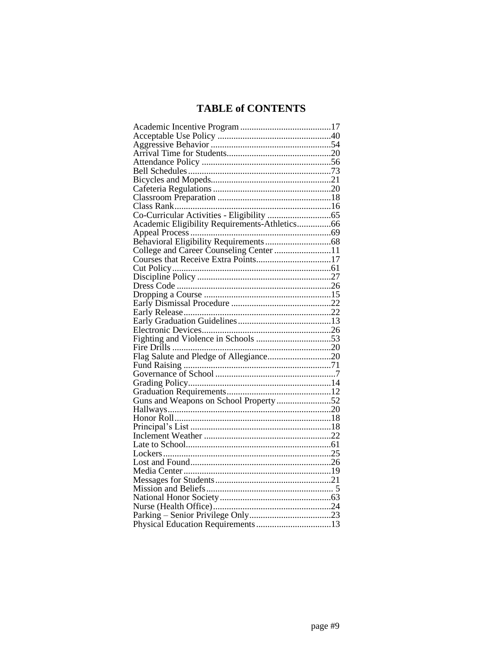# **TABLE of CONTENTS**

| Appeal Process<br>Behavioral Eligibility Requirements<br>College and Career Counseling Center<br>Courses that Receive Extra Points<br>17 |  |
|------------------------------------------------------------------------------------------------------------------------------------------|--|
|                                                                                                                                          |  |
|                                                                                                                                          |  |
|                                                                                                                                          |  |
|                                                                                                                                          |  |
|                                                                                                                                          |  |
|                                                                                                                                          |  |
|                                                                                                                                          |  |
|                                                                                                                                          |  |
|                                                                                                                                          |  |
|                                                                                                                                          |  |
|                                                                                                                                          |  |
|                                                                                                                                          |  |
|                                                                                                                                          |  |
|                                                                                                                                          |  |
|                                                                                                                                          |  |
|                                                                                                                                          |  |
|                                                                                                                                          |  |
|                                                                                                                                          |  |
|                                                                                                                                          |  |
|                                                                                                                                          |  |
|                                                                                                                                          |  |
|                                                                                                                                          |  |
|                                                                                                                                          |  |
|                                                                                                                                          |  |
|                                                                                                                                          |  |
|                                                                                                                                          |  |
|                                                                                                                                          |  |
|                                                                                                                                          |  |
|                                                                                                                                          |  |
|                                                                                                                                          |  |
|                                                                                                                                          |  |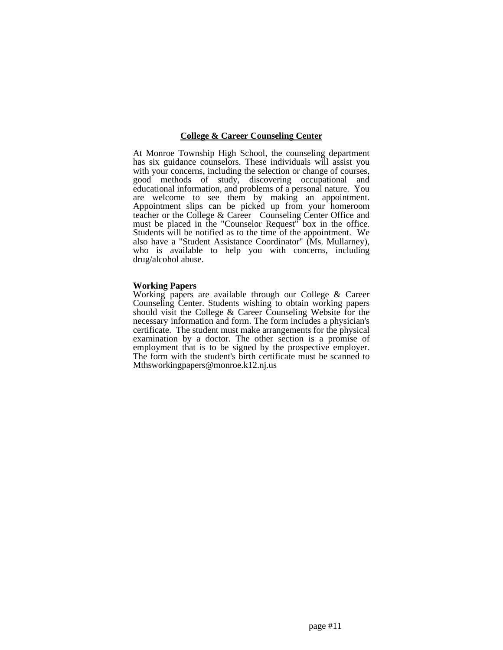## **College & Career Counseling Center**

At Monroe Township High School, the counseling department has six guidance counselors. These individuals will assist you with your concerns, including the selection or change of courses, good methods of study, discovering occupational and educational information, and problems of a personal nature. You are welcome to see them by making an appointment. Appointment slips can be picked up from your homeroom teacher or the College & Career Counseling Center Office and must be placed in the "Counselor Request" box in the office. Students will be notified as to the time of the appointment. We also have a "Student Assistance Coordinator" (Ms. Mullarney), who is available to help you with concerns, including drug/alcohol abuse.

#### **Working Papers**

Working papers are available through our College & Career Counseling Center. Students wishing to obtain working papers should visit the College & Career Counseling Website for the necessary information and form. The form includes a physician's certificate. The student must make arrangements for the physical examination by a doctor. The other section is a promise of employment that is to be signed by the prospective employer. The form with the student's birth certificate must be scanned to Mthsworkingpapers@monroe.k12.nj.us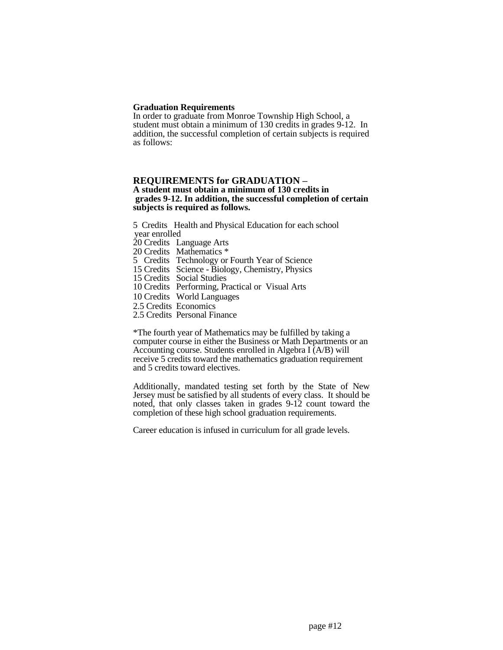### **Graduation Requirements**

In order to graduate from Monroe Township High School, a student must obtain a minimum of 130 credits in grades 9-12. In addition, the successful completion of certain subjects is required as follows:

## **REQUIREMENTS for GRADUATION – A student must obtain a minimum of 130 credits in grades 9-12. In addition, the successful completion of certain subjects is required as follows.**

5 Credits Health and Physical Education for each school year enrolled 20 Credits Language Arts 20 Credits Mathematics \*

5 Credits Technology or Fourth Year of Science

15 Credits Science - Biology, Chemistry, Physics

15 Credits Social Studies

10 Credits Performing, Practical or Visual Arts

10 Credits World Languages

2.5 Credits Economics

2.5 Credits Personal Finance

\*The fourth year of Mathematics may be fulfilled by taking a computer course in either the Business or Math Departments or an Accounting course. Students enrolled in Algebra I (A/B) will receive 5 credits toward the mathematics graduation requirement and 5 credits toward electives.

Additionally, mandated testing set forth by the State of New Jersey must be satisfied by all students of every class. It should be noted, that only classes taken in grades 9-12 count toward the completion of these high school graduation requirements.

Career education is infused in curriculum for all grade levels.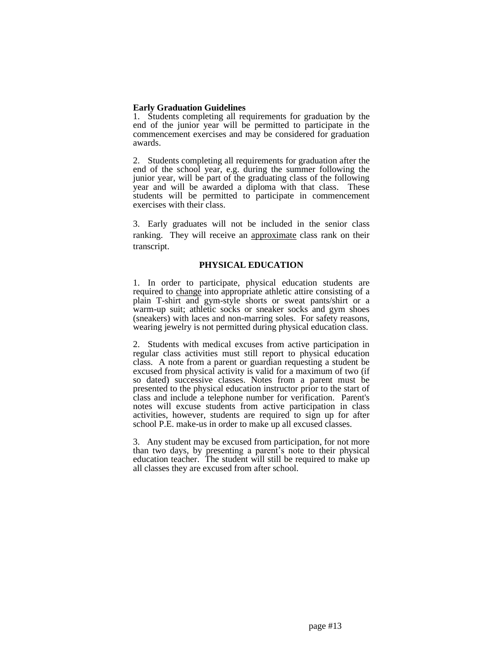## **Early Graduation Guidelines**

1. Students completing all requirements for graduation by the end of the junior year will be permitted to participate in the commencement exercises and may be considered for graduation awards.

2. Students completing all requirements for graduation after the end of the school year, e.g. during the summer following the junior year, will be part of the graduating class of the following year and will be awarded a diploma with that class. These students will be permitted to participate in commencement exercises with their class.

3. Early graduates will not be included in the senior class ranking. They will receive an approximate class rank on their transcript.

## **PHYSICAL EDUCATION**

1. In order to participate, physical education students are required to change into appropriate athletic attire consisting of a plain T-shirt and gym-style shorts or sweat pants/shirt or a warm-up suit; athletic socks or sneaker socks and gym shoes (sneakers) with laces and non-marring soles. For safety reasons, wearing jewelry is not permitted during physical education class.

2. Students with medical excuses from active participation in regular class activities must still report to physical education class. A note from a parent or guardian requesting a student be excused from physical activity is valid for a maximum of two (if so dated) successive classes. Notes from a parent must be presented to the physical education instructor prior to the start of class and include a telephone number for verification. Parent's notes will excuse students from active participation in class activities, however, students are required to sign up for after school P.E. make-us in order to make up all excused classes.

3. Any student may be excused from participation, for not more than two days, by presenting a parent's note to their physical education teacher. The student will still be required to make up all classes they are excused from after school.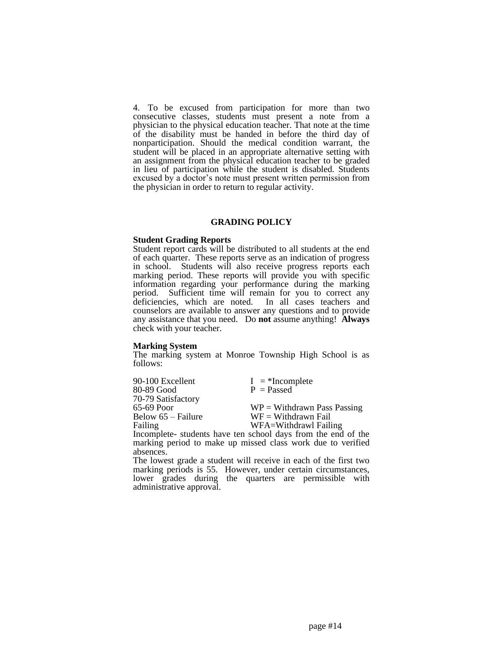4. To be excused from participation for more than two consecutive classes, students must present a note from a physician to the physical education teacher. That note at the time of the disability must be handed in before the third day of nonparticipation. Should the medical condition warrant, the student will be placed in an appropriate alternative setting with an assignment from the physical education teacher to be graded in lieu of participation while the student is disabled. Students excused by a doctor's note must present written permission from the physician in order to return to regular activity.

#### **GRADING POLICY**

#### **Student Grading Reports**

Student report cards will be distributed to all students at the end of each quarter. These reports serve as an indication of progress in school. Students will also receive progress reports each marking period. These reports will provide you with specific information regarding your performance during the marking period. Sufficient time will remain for you to correct any deficiencies, which are noted. In all cases teachers and counselors are available to answer any questions and to provide any assistance that you need. Do **not** assume anything! **Always** check with your teacher.

#### **Marking System**

The marking system at Monroe Township High School is as follows:

| 90-100 Excellent     | $I = *Incomplete$                                            |
|----------------------|--------------------------------------------------------------|
| 80-89 Good           | $P = P$ assed                                                |
| 70-79 Satisfactory   |                                                              |
| 65-69 Poor           | $WP = Without$ Pass Passing                                  |
| Below $65$ – Failure | $WF = Without$ Withdrawn Fail                                |
| Failing              | WFA=Withdrawl Failing                                        |
|                      | Incomplete-students have ten school days from the end of the |

Incomplete- students have ten school days from the end of the marking period to make up missed class work due to verified absences.

The lowest grade a student will receive in each of the first two marking periods is 55. However, under certain circumstances, lower grades during the quarters are permissible with administrative approval.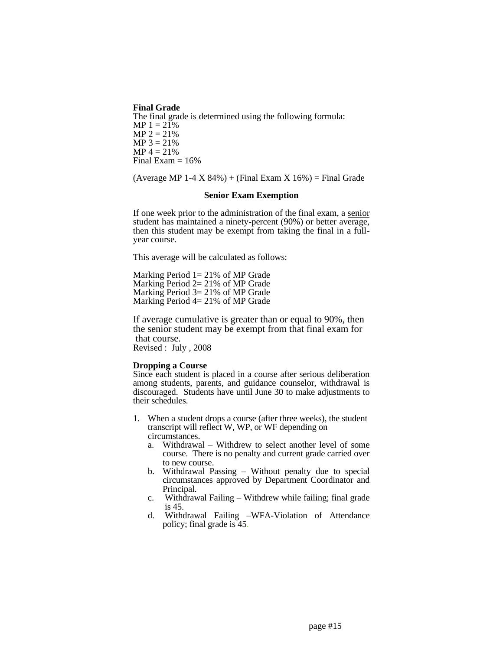**Final Grade** The final grade is determined using the following formula: MP  $1 = 21\%$  $MP 2 = 21%$  $MP 3 = 21\%$  $MP 4 = 21%$ Final Exam  $= 16\%$ 

 $(Average MP 1-4 X 84%) + (Final Exam X 16%) = Final Grade$ 

### **Senior Exam Exemption**

If one week prior to the administration of the final exam, a senior student has maintained a ninety-percent (90%) or better average, then this student may be exempt from taking the final in a fullyear course.

This average will be calculated as follows:

Marking Period  $1 = 21\%$  of MP Grade Marking Period 2= 21% of MP Grade Marking Period 3= 21% of MP Grade Marking Period  $4 = 21\%$  of MP Grade

If average cumulative is greater than or equal to 90%, then the senior student may be exempt from that final exam for that course.

Revised : July , 2008

## **Dropping a Course**

Since each student is placed in a course after serious deliberation among students, parents, and guidance counselor, withdrawal is discouraged. Students have until June 30 to make adjustments to their schedules.

- 1. When a student drops a course (after three weeks), the student transcript will reflect W, WP, or WF depending on circumstances.
	- a. Withdrawal Withdrew to select another level of some course. There is no penalty and current grade carried over to new course.
	- b. Withdrawal Passing Without penalty due to special circumstances approved by Department Coordinator and Principal.
	- c. Withdrawal Failing Withdrew while failing; final grade is 45.
	- d. Withdrawal Failing –WFA-Violation of Attendance policy; final grade is 45.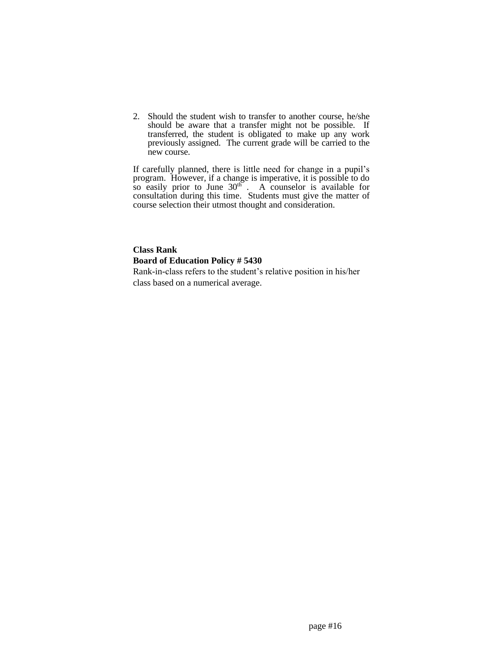2. Should the student wish to transfer to another course, he/she should be aware that a transfer might not be possible. If transferred, the student is obligated to make up any work previously assigned. The current grade will be carried to the new course.

If carefully planned, there is little need for change in a pupil's program. However, if a change is imperative, it is possible to do so easily prior to June  $30<sup>th</sup>$ . A counselor is available for consultation during this time. Students must give the matter of course selection their utmost thought and consideration.

## **Class Rank Board of Education Policy # 5430**

Rank-in-class refers to the student's relative position in his/her class based on a numerical average.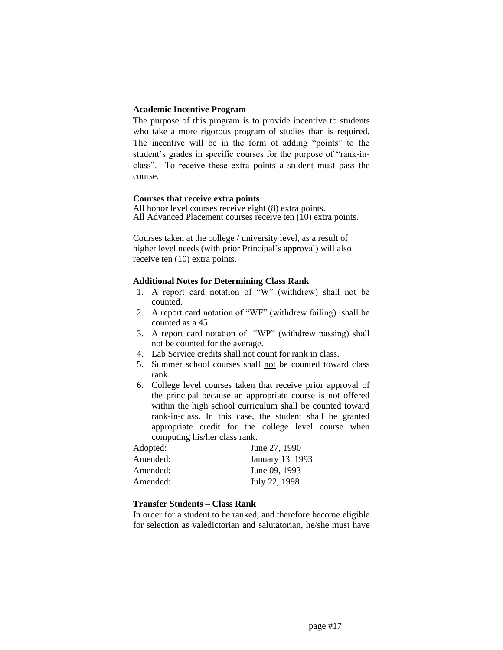## **Academic Incentive Program**

The purpose of this program is to provide incentive to students who take a more rigorous program of studies than is required. The incentive will be in the form of adding "points" to the student's grades in specific courses for the purpose of "rank-inclass". To receive these extra points a student must pass the course.

## **Courses that receive extra points**

All honor level courses receive eight (8) extra points. All Advanced Placement courses receive ten  $(10)$  extra points.

Courses taken at the college / university level, as a result of higher level needs (with prior Principal's approval) will also receive ten (10) extra points.

## **Additional Notes for Determining Class Rank**

- 1. A report card notation of "W" (withdrew) shall not be counted.
- 2. A report card notation of "WF" (withdrew failing) shall be counted as a 45.
- 3. A report card notation of "WP" (withdrew passing) shall not be counted for the average.
- 4. Lab Service credits shall not count for rank in class.
- 5. Summer school courses shall not be counted toward class rank.
- 6. College level courses taken that receive prior approval of the principal because an appropriate course is not offered within the high school curriculum shall be counted toward rank-in-class. In this case, the student shall be granted appropriate credit for the college level course when computing his/her class rank.

| June 27, 1990    |
|------------------|
| January 13, 1993 |
| June 09, 1993    |
| July 22, 1998    |
|                  |

## **Transfer Students – Class Rank**

In order for a student to be ranked, and therefore become eligible for selection as valedictorian and salutatorian, he/she must have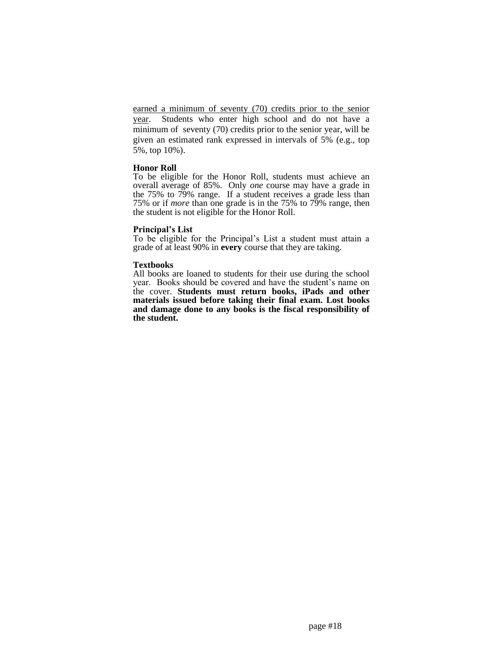earned a minimum of seventy (70) credits prior to the senior year. Students who enter high school and do not have a minimum of seventy (70) credits prior to the senior year, will be given an estimated rank expressed in intervals of 5% (e.g., top 5%, top 10%).

## **Honor Roll**

To be eligible for the Honor Roll, students must achieve an overall average of 85%. Only *one* course may have a grade in the 75% to 79% range. If a student receives a grade less than 75% or if *more* than one grade is in the 75% to 79% range, then the student is not eligible for the Honor Roll.

## **Principal's List**

To be eligible for the Principal's List a student must attain a grade of at least 90% in **every** course that they are taking.

## **Textbooks**

All books are loaned to students for their use during the school year. Books should be covered and have the student's name on the cover. **Students must return books, iPads and other materials issued before taking their final exam. Lost books and damage done to any books is the fiscal responsibility of the student.**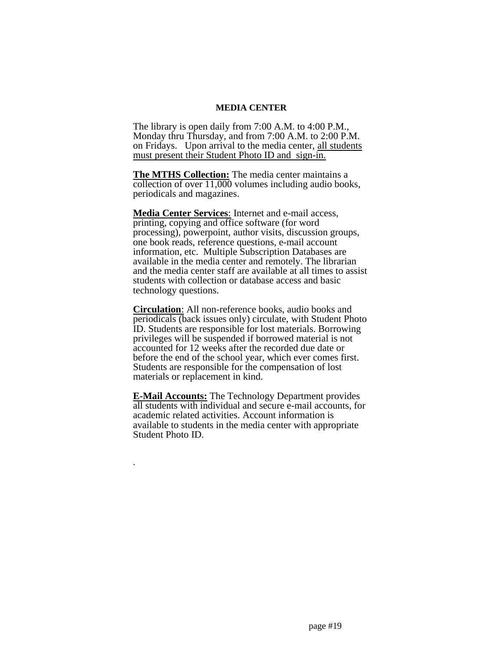## **MEDIA CENTER**

The library is open daily from 7:00 A.M. to 4:00 P.M., Monday thru Thursday, and from 7:00 A.M. to 2:00 P.M. on Fridays. Upon arrival to the media center, all students must present their Student Photo ID and sign-in.

**The MTHS Collection:** The media center maintains a collection of over 11,000 volumes including audio books, periodicals and magazines.

**Media Center Services**: Internet and e-mail access, printing, copying and office software (for word processing), powerpoint, author visits, discussion groups, one book reads, reference questions, e-mail account information, etc. Multiple Subscription Databases are available in the media center and remotely. The librarian and the media center staff are available at all times to assist students with collection or database access and basic technology questions.

**Circulation**: All non-reference books, audio books and periodicals (back issues only) circulate, with Student Photo ID. Students are responsible for lost materials. Borrowing privileges will be suspended if borrowed material is not accounted for 12 weeks after the recorded due date or before the end of the school year, which ever comes first. Students are responsible for the compensation of lost materials or replacement in kind.

**E-Mail Accounts:** The Technology Department provides all students with individual and secure e-mail accounts, for academic related activities. Account information is available to students in the media center with appropriate Student Photo ID.

.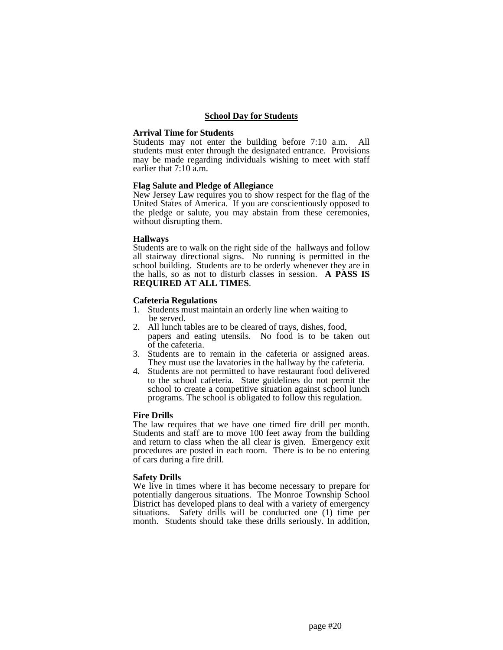#### **School Day for Students**

#### **Arrival Time for Students**

Students may not enter the building before 7:10 a.m. All students must enter through the designated entrance. Provisions may be made regarding individuals wishing to meet with staff earlier that 7:10 a.m.

#### **Flag Salute and Pledge of Allegiance**

New Jersey Law requires you to show respect for the flag of the United States of America. If you are conscientiously opposed to the pledge or salute, you may abstain from these ceremonies, without disrupting them.

#### **Hallways**

Students are to walk on the right side of the hallways and follow all stairway directional signs. No running is permitted in the school building. Students are to be orderly whenever they are in the halls, so as not to disturb classes in session. **A PASS IS REQUIRED AT ALL TIMES**.

#### **Cafeteria Regulations**

- 1. Students must maintain an orderly line when waiting to be served.
- 2. All lunch tables are to be cleared of trays, dishes, food, papers and eating utensils. No food is to be taken out of the cafeteria.
- 3. Students are to remain in the cafeteria or assigned areas. They must use the lavatories in the hallway by the cafeteria.
- 4. Students are not permitted to have restaurant food delivered to the school cafeteria. State guidelines do not permit the school to create a competitive situation against school lunch programs. The school is obligated to follow this regulation.

#### **Fire Drills**

The law requires that we have one timed fire drill per month. Students and staff are to move 100 feet away from the building and return to class when the all clear is given. Emergency exit procedures are posted in each room. There is to be no entering of cars during a fire drill.

#### **Safety Drills**

We live in times where it has become necessary to prepare for potentially dangerous situations. The Monroe Township School District has developed plans to deal with a variety of emergency situations. Safety drills will be conducted one (1) time per month. Students should take these drills seriously. In addition,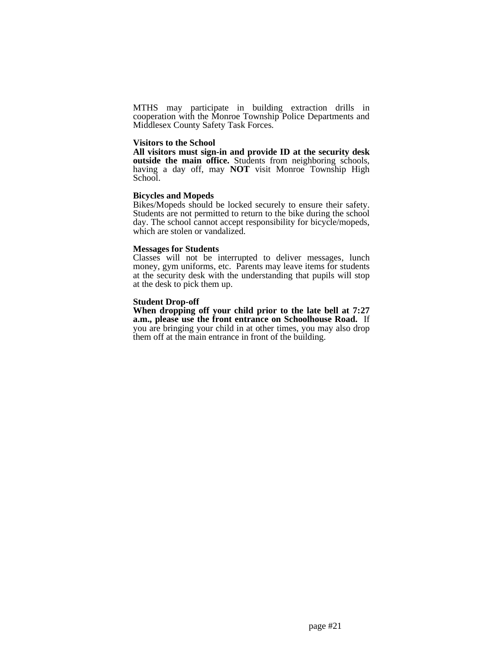MTHS may participate in building extraction drills in cooperation with the Monroe Township Police Departments and Middlesex County Safety Task Forces.

#### **Visitors to the School**

**All visitors must sign-in and provide ID at the security desk outside the main office.** Students from neighboring schools, having a day off, may **NOT** visit Monroe Township High School.

## **Bicycles and Mopeds**

Bikes/Mopeds should be locked securely to ensure their safety. Students are not permitted to return to the bike during the school day. The school cannot accept responsibility for bicycle/mopeds, which are stolen or vandalized.

#### **Messages for Students**

Classes will not be interrupted to deliver messages, lunch money, gym uniforms, etc. Parents may leave items for students at the security desk with the understanding that pupils will stop at the desk to pick them up.

## **Student Drop-off**

**When dropping off your child prior to the late bell at 7:27 a.m., please use the front entrance on Schoolhouse Road.** If you are bringing your child in at other times, you may also drop them off at the main entrance in front of the building.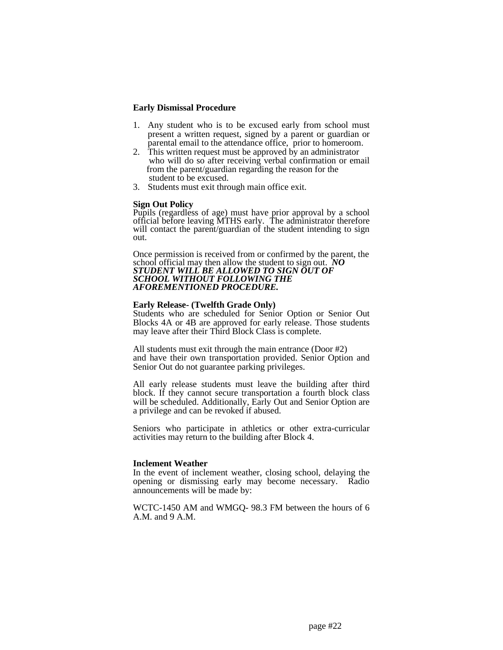## **Early Dismissal Procedure**

- 1. Any student who is to be excused early from school must present a written request, signed by a parent or guardian or parental email to the attendance office, prior to homeroom.
- 2. This written request must be approved by an administrator who will do so after receiving verbal confirmation or email from the parent/guardian regarding the reason for the student to be excused.
- 3. Students must exit through main office exit.

## **Sign Out Policy**

Pupils (regardless of age) must have prior approval by a school official before leaving MTHS early. The administrator therefore will contact the parent/guardian of the student intending to sign out.

Once permission is received from or confirmed by the parent, the school official may then allow the student to sign out. *NO STUDENT WILL BE ALLOWED TO SIGN OUT OF SCHOOL WITHOUT FOLLOWING THE AFOREMENTIONED PROCEDURE.*

## **Early Release- (Twelfth Grade Only)**

Students who are scheduled for Senior Option or Senior Out Blocks 4A or 4B are approved for early release. Those students may leave after their Third Block Class is complete.

All students must exit through the main entrance (Door #2) and have their own transportation provided. Senior Option and Senior Out do not guarantee parking privileges.

All early release students must leave the building after third block. If they cannot secure transportation a fourth block class will be scheduled. Additionally, Early Out and Senior Option are a privilege and can be revoked if abused.

Seniors who participate in athletics or other extra-curricular activities may return to the building after Block 4.

## **Inclement Weather**

In the event of inclement weather, closing school, delaying the opening or dismissing early may become necessary. Radio announcements will be made by:

WCTC-1450 AM and WMGQ- 98.3 FM between the hours of 6 A.M. and 9 A.M.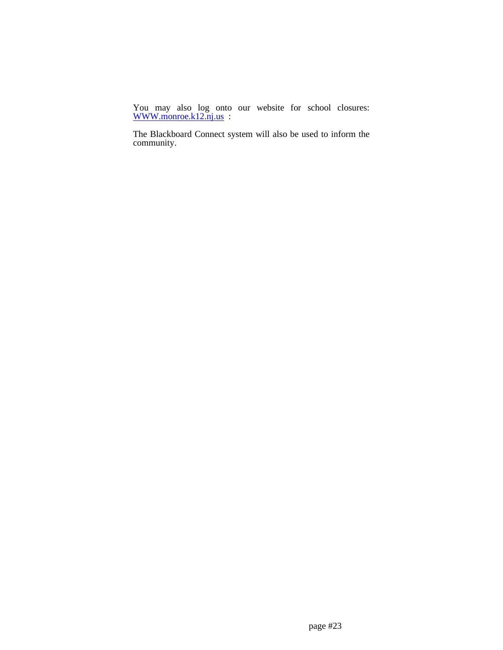You may also log onto our website for school closures: [WWW.monroe.k12.nj.us](http://www.monroe.k12.nj.us/) :

The Blackboard Connect system will also be used to inform the community.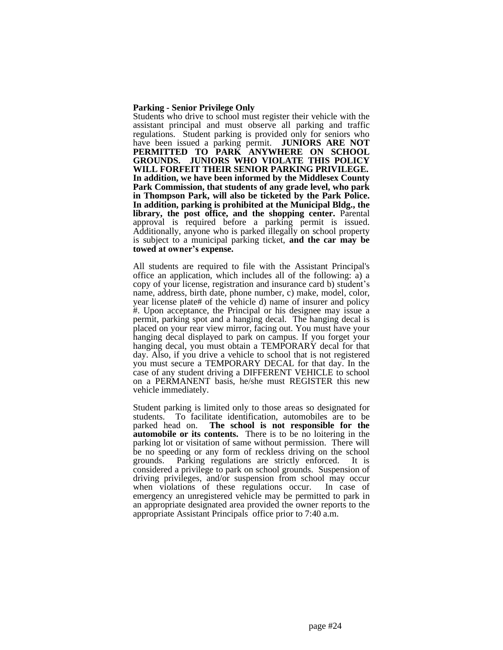#### **Parking - Senior Privilege Only**

Students who drive to school must register their vehicle with the assistant principal and must observe all parking and traffic regulations. Student parking is provided only for seniors who have been issued a parking permit. **JUNIORS ARE NOT PERMITTED TO PARK ANYWHERE ON SCHOOL GROUNDS. JUNIORS WHO VIOLATE THIS POLICY WILL FORFEIT THEIR SENIOR PARKING PRIVILEGE. In addition, we have been informed by the Middlesex County Park Commission, that students of any grade level, who park in Thompson Park, will also be ticketed by the Park Police. In addition, parking is prohibited at the Municipal Bldg., the library, the post office, and the shopping center.** Parental approval is required before a parking permit is issued. Additionally, anyone who is parked illegally on school property is subject to a municipal parking ticket, **and the car may be towed at owner's expense.**

All students are required to file with the Assistant Principal's office an application, which includes all of the following: a) a copy of your license, registration and insurance card b) student's name, address, birth date, phone number, c) make, model, color, year license plate# of the vehicle d) name of insurer and policy #. Upon acceptance, the Principal or his designee may issue a permit, parking spot and a hanging decal. The hanging decal is placed on your rear view mirror, facing out. You must have your hanging decal displayed to park on campus. If you forget your hanging decal, you must obtain a TEMPORARY decal for that day. Also, if you drive a vehicle to school that is not registered you must secure a TEMPORARY DECAL for that day. In the case of any student driving a DIFFERENT VEHICLE to school on a PERMANENT basis, he/she must REGISTER this new vehicle immediately.

Student parking is limited only to those areas so designated for students. To facilitate identification, automobiles are to be parked head on. **The school is not responsible for the automobile or its contents.** There is to be no loitering in the parking lot or visitation of same without permission. There will be no speeding or any form of reckless driving on the school grounds. Parking regulations are strictly enforced. It is considered a privilege to park on school grounds. Suspension of driving privileges, and/or suspension from school may occur when violations of these regulations occur. In case of emergency an unregistered vehicle may be permitted to park in an appropriate designated area provided the owner reports to the appropriate Assistant Principals office prior to 7:40 a.m.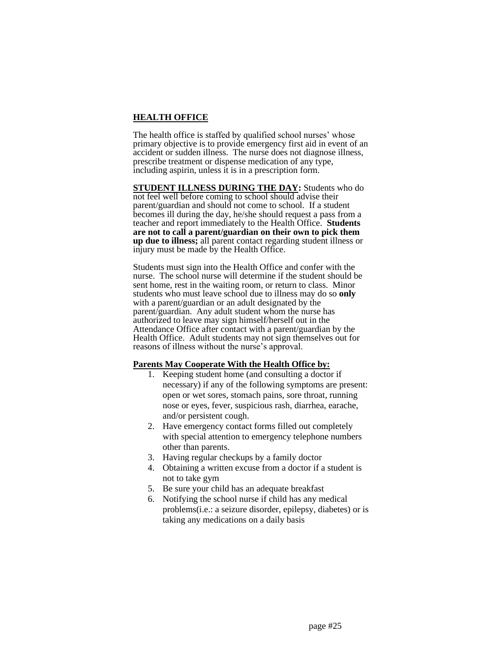## **HEALTH OFFICE**

The health office is staffed by qualified school nurses' whose primary objective is to provide emergency first aid in event of an accident or sudden illness. The nurse does not diagnose illness, prescribe treatment or dispense medication of any type, including aspirin, unless it is in a prescription form.

**STUDENT ILLNESS DURING THE DAY:** Students who do not feel well before coming to school should advise their parent/guardian and should not come to school. If a student becomes ill during the day, he/she should request a pass from a teacher and report immediately to the Health Office. **Students are not to call a parent/guardian on their own to pick them up due to illness;** all parent contact regarding student illness or injury must be made by the Health Office.

Students must sign into the Health Office and confer with the nurse. The school nurse will determine if the student should be sent home, rest in the waiting room, or return to class. Minor students who must leave school due to illness may do so **only** with a parent/guardian or an adult designated by the parent/guardian. Any adult student whom the nurse has authorized to leave may sign himself/herself out in the Attendance Office after contact with a parent/guardian by the Health Office. Adult students may not sign themselves out for reasons of illness without the nurse's approval.

## **Parents May Cooperate With the Health Office by:**

- 1. Keeping student home (and consulting a doctor if necessary) if any of the following symptoms are present: open or wet sores, stomach pains, sore throat, running nose or eyes, fever, suspicious rash, diarrhea, earache, and/or persistent cough.
- 2. Have emergency contact forms filled out completely with special attention to emergency telephone numbers other than parents.
- 3. Having regular checkups by a family doctor
- 4. Obtaining a written excuse from a doctor if a student is not to take gym
- 5. Be sure your child has an adequate breakfast
- 6. Notifying the school nurse if child has any medical problems(i.e.: a seizure disorder, epilepsy, diabetes) or is taking any medications on a daily basis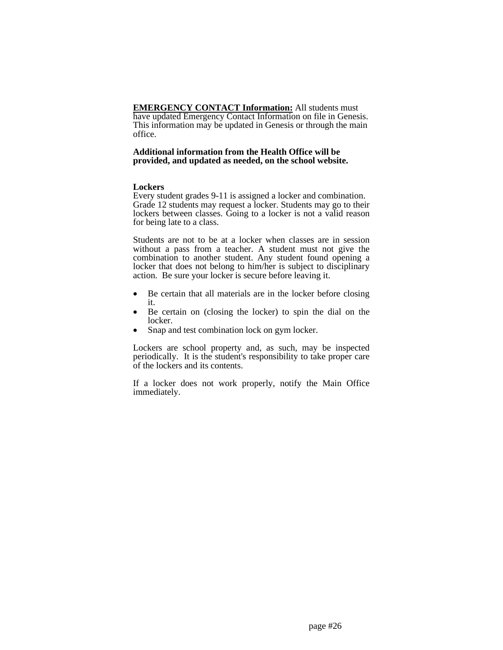**EMERGENCY CONTACT Information:** All students must have updated Emergency Contact Information on file in Genesis. This information may be updated in Genesis or through the main office.

## **Additional information from the Health Office will be provided, and updated as needed, on the school website.**

## **Lockers**

Every student grades 9-11 is assigned a locker and combination. Grade 12 students may request a locker. Students may go to their lockers between classes. Going to a locker is not a valid reason for being late to a class.

Students are not to be at a locker when classes are in session without a pass from a teacher. A student must not give the combination to another student. Any student found opening a locker that does not belong to him/her is subject to disciplinary action. Be sure your locker is secure before leaving it.

- Be certain that all materials are in the locker before closing it.
- Be certain on (closing the locker) to spin the dial on the locker.
- Snap and test combination lock on gym locker.

Lockers are school property and, as such, may be inspected periodically. It is the student's responsibility to take proper care of the lockers and its contents.

If a locker does not work properly, notify the Main Office immediately.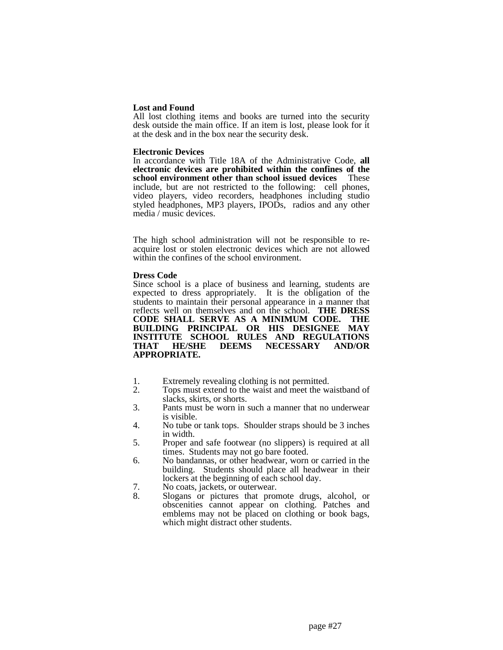## **Lost and Found**

All lost clothing items and books are turned into the security desk outside the main office. If an item is lost, please look for it at the desk and in the box near the security desk.

#### **Electronic Devices**

In accordance with Title 18A of the Administrative Code, **all electronic devices are prohibited within the confines of the school environment other than school issued devices** These include, but are not restricted to the following: cell phones, video players, video recorders, headphones including studio styled headphones, MP3 players, IPODs, radios and any other media / music devices.

The high school administration will not be responsible to reacquire lost or stolen electronic devices which are not allowed within the confines of the school environment.

#### **Dress Code**

Since school is a place of business and learning, students are expected to dress appropriately. It is the obligation of the students to maintain their personal appearance in a manner that reflects well on themselves and on the school. **THE DRESS CODE SHALL SERVE AS A MINIMUM CODE. THE BUILDING PRINCIPAL OR HIS DESIGNEE MAY INSTITUTE SCHOOL RULES AND REGULATIONS THAT HE/SHE DEEMS NECESSARY AND/OR APPROPRIATE.**

- 1. Extremely revealing clothing is not permitted.
- 2. Tops must extend to the waist and meet the waistband of slacks, skirts, or shorts.
- 3. Pants must be worn in such a manner that no underwear is visible.
- 4. No tube or tank tops. Shoulder straps should be 3 inches in width.
- 5. Proper and safe footwear (no slippers) is required at all times. Students may not go bare footed.
- 6. No bandannas, or other headwear, worn or carried in the building. Students should place all headwear in their lockers at the beginning of each school day.
- 7. No coats, jackets, or outerwear.
- 8. Slogans or pictures that promote drugs, alcohol, or obscenities cannot appear on clothing. Patches and emblems may not be placed on clothing or book bags, which might distract other students.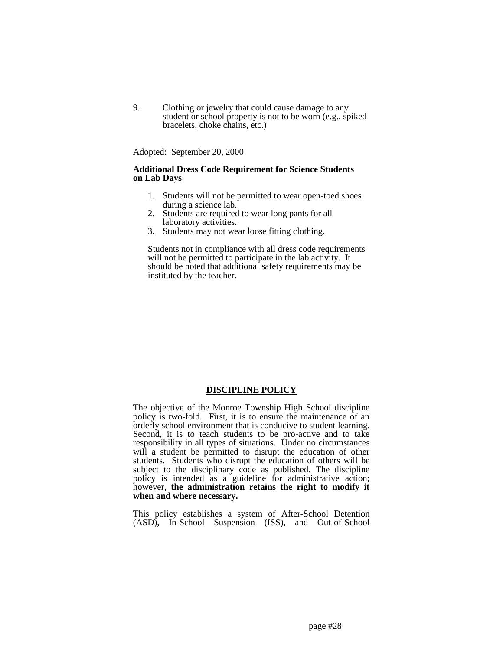9. Clothing or jewelry that could cause damage to any student or school property is not to be worn (e.g., spiked bracelets, choke chains, etc.)

Adopted: September 20, 2000

## **Additional Dress Code Requirement for Science Students on Lab Days**

- 1. Students will not be permitted to wear open-toed shoes during a science lab.
- 2. Students are required to wear long pants for all laboratory activities.
- 3. Students may not wear loose fitting clothing.

Students not in compliance with all dress code requirements will not be permitted to participate in the lab activity. It should be noted that additional safety requirements may be instituted by the teacher.

## **DISCIPLINE POLICY**

The objective of the Monroe Township High School discipline policy is two-fold. First, it is to ensure the maintenance of an orderly school environment that is conducive to student learning. Second, it is to teach students to be pro-active and to take responsibility in all types of situations. Under no circumstances will a student be permitted to disrupt the education of other students. Students who disrupt the education of others will be subject to the disciplinary code as published. The discipline policy is intended as a guideline for administrative action; however, **the administration retains the right to modify it when and where necessary.**

This policy establishes a system of After-School Detention (ASD), In-School Suspension (ISS), and Out-of-School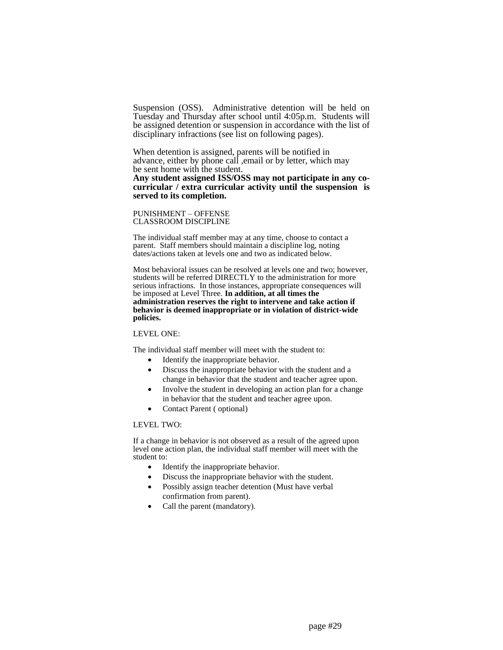Suspension (OSS). Administrative detention will be held on Tuesday and Thursday after school until 4:05p.m. Students will be assigned detention or suspension in accordance with the list of disciplinary infractions (see list on following pages).

When detention is assigned, parents will be notified in advance, either by phone call ,email or by letter, which may be sent home with the student. **Any student assigned ISS/OSS may not participate in any cocurricular / extra curricular activity until the suspension is served to its completion.**

PUNISHMENT – OFFENSE CLASSROOM DISCIPLINE

The individual staff member may at any time, choose to contact a parent. Staff members should maintain a discipline log, noting dates/actions taken at levels one and two as indicated below.

Most behavioral issues can be resolved at levels one and two; however, students will be referred DIRECTLY to the administration for more serious infractions. In those instances, appropriate consequences will be imposed at Level Three. **In addition, at all times the administration reserves the right to intervene and take action if behavior is deemed inappropriate or in violation of district-wide policies.**

#### LEVEL ONE:

The individual staff member will meet with the student to:

- Identify the inappropriate behavior.
- Discuss the inappropriate behavior with the student and a change in behavior that the student and teacher agree upon.
- Involve the student in developing an action plan for a change in behavior that the student and teacher agree upon.
- Contact Parent ( optional)

#### LEVEL TWO:

If a change in behavior is not observed as a result of the agreed upon level one action plan, the individual staff member will meet with the student to:

- Identify the inappropriate behavior.
- Discuss the inappropriate behavior with the student.
- Possibly assign teacher detention (Must have verbal confirmation from parent).
- Call the parent (mandatory).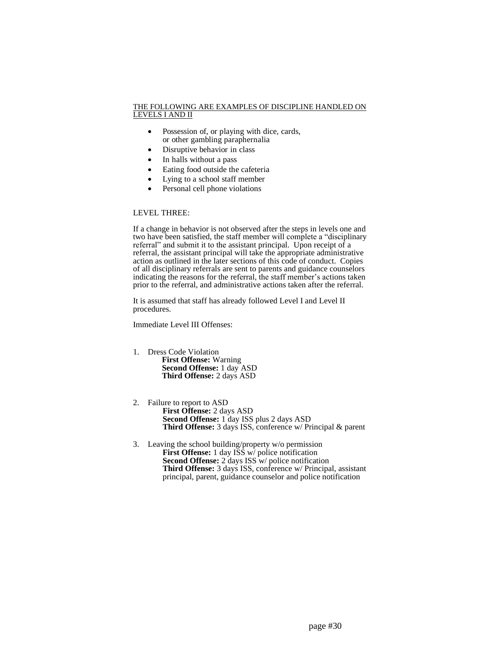#### THE FOLLOWING ARE EXAMPLES OF DISCIPLINE HANDLED ON LEVELS I AND II

- Possession of, or playing with dice, cards, or other gambling paraphernalia
- Disruptive behavior in class
- In halls without a pass
- Eating food outside the cafeteria
- Lying to a school staff member
- Personal cell phone violations

## LEVEL THREE:

If a change in behavior is not observed after the steps in levels one and two have been satisfied, the staff member will complete a "disciplinary referral" and submit it to the assistant principal. Upon receipt of a referral, the assistant principal will take the appropriate administrative action as outlined in the later sections of this code of conduct. Copies of all disciplinary referrals are sent to parents and guidance counselors indicating the reasons for the referral, the staff member's actions taken prior to the referral, and administrative actions taken after the referral.

It is assumed that staff has already followed Level I and Level II procedures.

Immediate Level III Offenses:

- 1. Dress Code Violation  **First Offense:** Warning  **Second Offense:** 1 day ASD  **Third Offense:** 2 days ASD
- 2. Failure to report to ASD **First Offense:** 2 days ASD **Second Offense:** 1 day ISS plus 2 days ASD **Third Offense:** 3 days ISS, conference w/ Principal & parent
- 3. Leaving the school building/property w/o permission **First Offense:** 1 day ISS w/ police notification **Second Offense:** 2 days ISS w/ police notification **Third Offense:** 3 days ISS, conference w/ Principal, assistant principal, parent, guidance counselor and police notification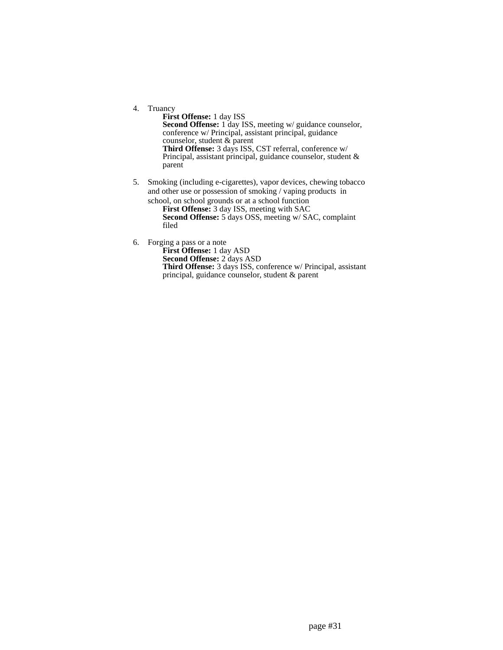4. Truancy

**First Offense:** 1 day ISS **Second Offense:** 1 day ISS, meeting w/ guidance counselor, conference w/ Principal, assistant principal, guidance counselor, student & parent **Third Offense:** 3 days ISS, CST referral, conference w/ Principal, assistant principal, guidance counselor, student & parent

5. Smoking (including e-cigarettes), vapor devices, chewing tobacco and other use or possession of smoking / vaping products in

school, on school grounds or at a school function **First Offense:** 3 day ISS, meeting with SAC **Second Offense:** 5 days OSS, meeting w/ SAC, complaint filed

6. Forging a pass or a note

**First Offense:** 1 day ASD **Second Offense:** 2 days ASD **Third Offense:** 3 days ISS, conference w/ Principal, assistant principal, guidance counselor, student & parent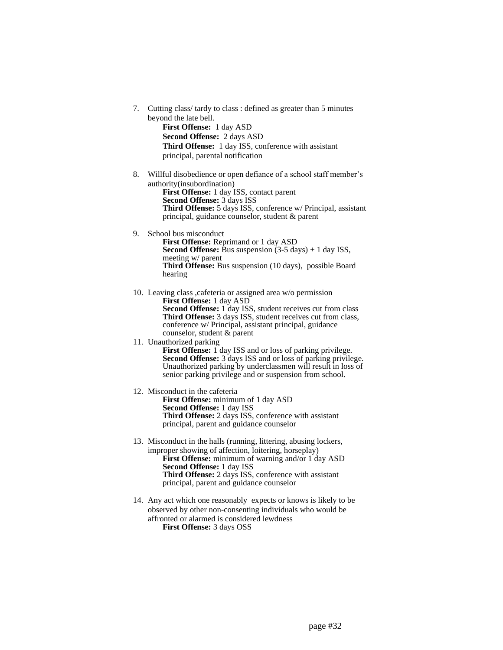- 7. Cutting class/ tardy to class : defined as greater than 5 minutes beyond the late bell. **First Offense:** 1 day ASD **Second Offense:** 2 days ASD **Third Offense:** 1 day ISS, conference with assistant principal, parental notification 8. Willful disobedience or open defiance of a school staff member's authority(insubordination) **First Offense:** 1 day ISS, contact parent **Second Offense:** 3 days ISS **Third Offense:** 5 days ISS, conference w/ Principal, assistant principal, guidance counselor, student & parent 9. School bus misconduct **First Offense:** Reprimand or 1 day ASD **Second Offense:** Bus suspension  $(3-5 \text{ days}) + 1 \text{ day ISS}$ , meeting w/ parent **Third Offense:** Bus suspension (10 days), possible Board hearing 10. Leaving class ,cafeteria or assigned area w/o permission **First Offense:** 1 day ASD **Second Offense:** 1 day ISS, student receives cut from class **Third Offense:** 3 days ISS, student receives cut from class, conference w/ Principal, assistant principal, guidance counselor, student & parent 11. Unauthorized parking First Offense: 1 day ISS and or loss of parking privilege. **Second Offense:** 3 days ISS and or loss of parking privilege. Unauthorized parking by underclassmen will result in loss of senior parking privilege and or suspension from school. 12. Misconduct in the cafeteria **First Offense:** minimum of 1 day ASD **Second Offense:** 1 day ISS **Third Offense:** 2 days ISS, conference with assistant principal, parent and guidance counselor 13. Misconduct in the halls (running, littering, abusing lockers, improper showing of affection, loitering, horseplay) **First Offense:** minimum of warning and/or 1 day ASD **Second Offense:** 1 day ISS **Third Offense:** 2 days ISS, conference with assistant principal, parent and guidance counselor 14. Any act which one reasonably expects or knows is likely to be
	- observed by other non-consenting individuals who would be affronted or alarmed is considered lewdness **First Offense:** 3 days OSS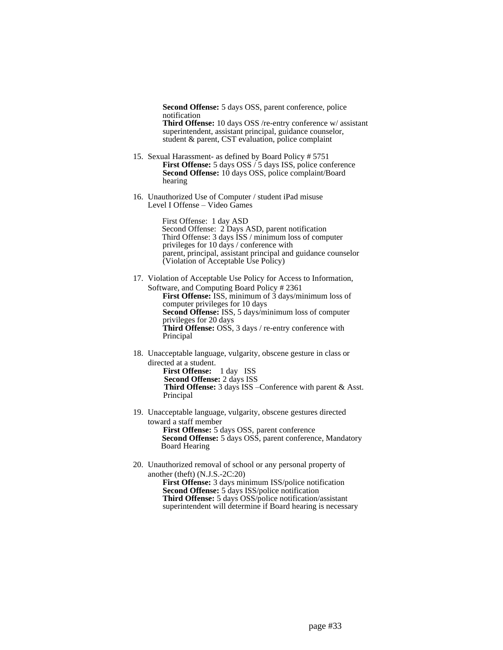**Second Offense:** 5 days OSS, parent conference, police notification **Third Offense:** 10 days OSS /re-entry conference w/ assistant superintendent, assistant principal, guidance counselor,

15. Sexual Harassment- as defined by Board Policy # 5751 **First Offense:** 5 days OSS / 5 days ISS, police conference **Second Offense:** 10 days OSS, police complaint/Board hearing

student & parent, CST evaluation, police complaint

16. Unauthorized Use of Computer / student iPad misuse Level I Offense – Video Games

> First Offense: 1 day ASD Second Offense: 2 Days ASD, parent notification Third Offense: 3 days ISS / minimum loss of computer privileges for 10 days / conference with parent, principal, assistant principal and guidance counselor (Violation of Acceptable Use Policy)

17. Violation of Acceptable Use Policy for Access to Information, Software, and Computing Board Policy # 2361 **First Offense:** ISS, minimum of 3 days/minimum loss of computer privileges for 10 days **Second Offense:** ISS, 5 days/minimum loss of computer privileges for 20 days **Third Offense:** OSS, 3 days / re-entry conference with Principal

- 18. Unacceptable language, vulgarity, obscene gesture in class or directed at a student. **First Offense:** 1 day ISS  **Second Offense:** 2 days ISS  **Third Offense:** 3 days ISS –Conference with parent & Asst. Principal
- 19. Unacceptable language, vulgarity, obscene gestures directed toward a staff member **First Offense:** 5 days OSS, parent conference  **Second Offense:** 5 days OSS, parent conference, Mandatory
- Board Hearing 20. Unauthorized removal of school or any personal property of
	- another (theft) (N.J.S.-2C:20) **First Offense:** 3 days minimum ISS/police notification **Second Offense:** 5 days ISS/police notification **Third Offense:** 5 days OSS/police notification/assistant

superintendent will determine if Board hearing is necessary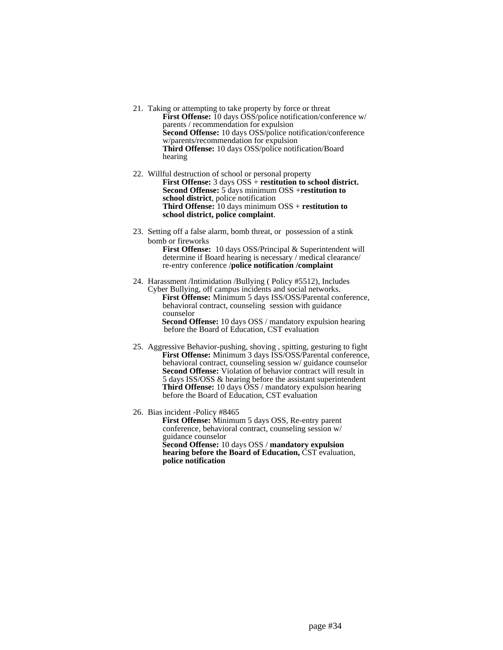- 21. Taking or attempting to take property by force or threat **First Offense:** 10 days OSS/police notification/conference w/ parents / recommendation for expulsion **Second Offense:** 10 days OSS/police notification/conference w/parents/recommendation for expulsion **Third Offense:** 10 days OSS/police notification/Board hearing
- 22. Willful destruction of school or personal property **First Offense:** 3 days OSS + **restitution to school district. Second Offense:** 5 days minimum OSS +**restitution to school district**, police notification **Third Offense:** 10 days minimum OSS + **restitution to school district, police complaint**.
- 23. Setting off a false alarm, bomb threat, or possession of a stink bomb or fireworks

**First Offense:** 10 days OSS/Principal & Superintendent will determine if Board hearing is necessary / medical clearance/ re-entry conference /**police notification /complaint**

24. Harassment /Intimidation /Bullying ( Policy #5512), Includes Cyber Bullying, off campus incidents and social networks. **First Offense:** Minimum 5 days ISS/OSS/Parental conference, behavioral contract, counseling session with guidance counselor  **Second Offense:** 10 days OSS / mandatory expulsion hearing

before the Board of Education, CST evaluation

- 25. Aggressive Behavior-pushing, shoving , spitting, gesturing to fight  **First Offense:** Minimum 3 days ISS/OSS/Parental conference, behavioral contract, counseling session w/ guidance counselor  **Second Offense:** Violation of behavior contract will result in 5 days ISS/OSS & hearing before the assistant superintendent  **Third Offense:** 10 days OSS / mandatory expulsion hearing before the Board of Education, CST evaluation
- 26. Bias incident -Policy #8465

 **First Offense:** Minimum 5 days OSS, Re-entry parent conference, behavioral contract, counseling session w/ guidance counselor  **Second Offense:** 10 days OSS / **mandatory expulsion hearing before the Board of Education,** CST evaluation, **police notification**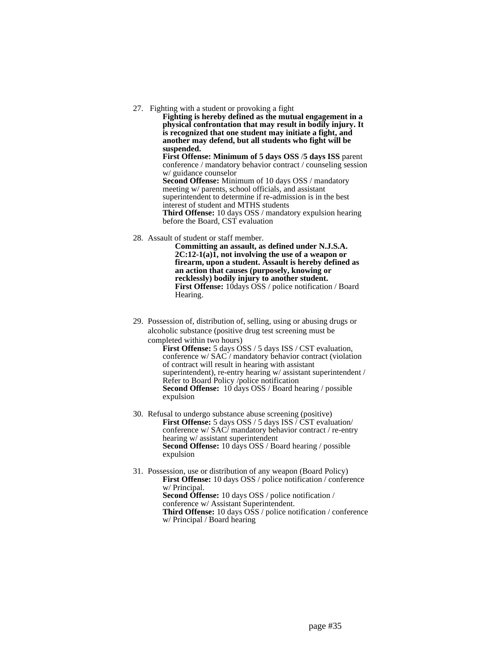27. Fighting with a student or provoking a fight

**Fighting is hereby defined as the mutual engagement in a physical confrontation that may result in bodily injury. It is recognized that one student may initiate a fight, and another may defend, but all students who fight will be suspended.**

**First Offense: Minimum of 5 days OSS** /**5 days ISS** parent conference / mandatory behavior contract / counseling session w/ guidance counselor **Second Offense:** Minimum of 10 days OSS / mandatory meeting w/ parents, school officials, and assistant superintendent to determine if re-admission is in the best interest of student and MTHS students **Third Offense:** 10 days OSS / mandatory expulsion hearing

before the Board, CST evaluation

28. Assault of student or staff member.

**Committing an assault, as defined under N.J.S.A. 2C:12-1(a)1, not involving the use of a weapon or firearm, upon a student. Assault is hereby defined as an action that causes (purposely, knowing or recklessly) bodily injury to another student. First Offense:** 10days OSS / police notification / Board Hearing.

29. Possession of, distribution of, selling, using or abusing drugs or alcoholic substance (positive drug test screening must be completed within two hours)

**First Offense:** 5 days OSS / 5 days ISS / CST evaluation, conference w/ SAC / mandatory behavior contract (violation of contract will result in hearing with assistant superintendent), re-entry hearing w/ assistant superintendent / Refer to Board Policy /police notification **Second Offense:** 10 days OSS / Board hearing / possible expulsion

30. Refusal to undergo substance abuse screening (positive) **First Offense:** 5 days OSS / 5 days ISS / CST evaluation/ conference w/ SAC/ mandatory behavior contract / re-entry hearing w/ assistant superintendent **Second Offense:** 10 days OSS / Board hearing / possible expulsion

31. Possession, use or distribution of any weapon (Board Policy) **First Offense:** 10 days OSS / police notification / conference w/ Principal. **Second Offense:** 10 days OSS / police notification / conference w/ Assistant Superintendent. **Third Offense:** 10 days OSS / police notification / conference w/ Principal / Board hearing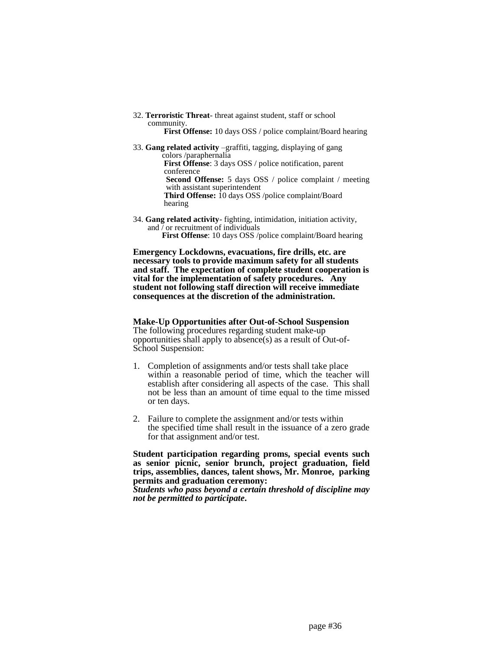32. **Terroristic Threat**- threat against student, staff or school community.

 **First Offense:** 10 days OSS / police complaint/Board hearing

- 33. **Gang related activity** –graffiti, tagging, displaying of gang colors /paraphernalia **First Offense**: 3 days OSS / police notification, parent conference  **Second Offense:** 5 days OSS / police complaint / meeting with assistant superintendent  **Third Offense:** 10 days OSS /police complaint/Board hearing
- 34. **Gang related activity** fighting, intimidation, initiation activity, and  $\bar{\ }$  or recruitment of individuals **First Offense**: 10 days OSS /police complaint/Board hearing

**Emergency Lockdowns, evacuations, fire drills, etc. are necessary tools to provide maximum safety for all students and staff. The expectation of complete student cooperation is vital for the implementation of safety procedures. Any student not following staff direction will receive immediate consequences at the discretion of the administration.**

## **Make-Up Opportunities after Out-of-School Suspension**

The following procedures regarding student make-up opportunities shall apply to absence(s) as a result of Out-of-School Suspension:

- 1. Completion of assignments and/or tests shall take place within a reasonable period of time, which the teacher will establish after considering all aspects of the case. This shall not be less than an amount of time equal to the time missed or ten days.
- 2. Failure to complete the assignment and/or tests within the specified time shall result in the issuance of a zero grade for that assignment and/or test.

**Student participation regarding proms, special events such as senior picnic, senior brunch, project graduation, field trips, assemblies, dances, talent shows, Mr. Monroe, parking permits and graduation ceremony:**

*Students who pass beyond a certain threshold of discipline may not be permitted to participate***.**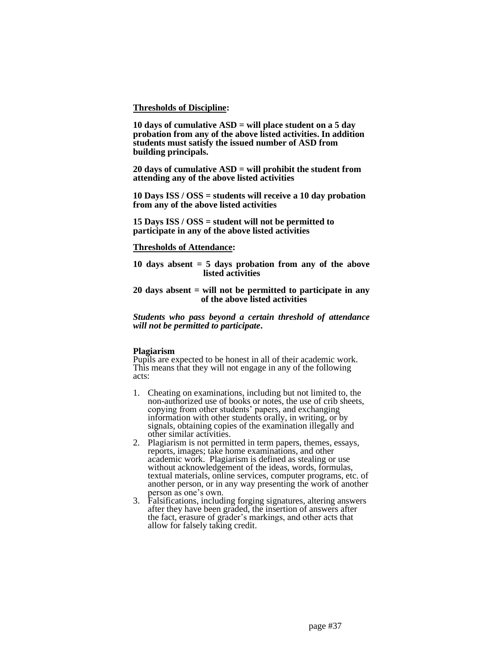### **Thresholds of Discipline:**

**10 days of cumulative ASD = will place student on a 5 day probation from any of the above listed activities. In addition students must satisfy the issued number of ASD from building principals.**

**20 days of cumulative ASD = will prohibit the student from attending any of the above listed activities**

**10 Days ISS / OSS = students will receive a 10 day probation from any of the above listed activities**

**15 Days ISS / OSS = student will not be permitted to participate in any of the above listed activities**

### **Thresholds of Attendance:**

**10 days absent = 5 days probation from any of the above listed activities**

### **20 days absent = will not be permitted to participate in any of the above listed activities**

*Students who pass beyond a certain threshold of attendance will not be permitted to participate***.** 

## **Plagiarism**

Pupils are expected to be honest in all of their academic work. This means that they will not engage in any of the following acts:

- 1. Cheating on examinations, including but not limited to, the non-authorized use of books or notes, the use of crib sheets, copying from other students' papers, and exchanging information with other students orally, in writing, or by signals, obtaining copies of the examination illegally and other similar activities.
- 2. Plagiarism is not permitted in term papers, themes, essays, reports, images; take home examinations, and other academic work. Plagiarism is defined as stealing or use without acknowledgement of the ideas, words, formulas, textual materials, online services, computer programs, etc. of another person, or in any way presenting the work of another person as one's own.
- 3. Falsifications, including forging signatures, altering answers after they have been graded, the insertion of answers after the fact, erasure of grader's markings, and other acts that allow for falsely taking credit.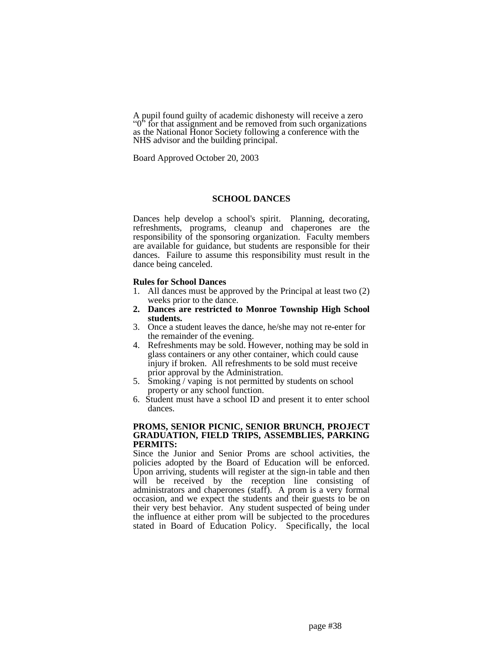A pupil found guilty of academic dishonesty will receive a zero "0<sup>"</sup> for that assignment and be removed from such organizations" as the National Honor Society following a conference with the NHS advisor and the building principal.

Board Approved October 20, 2003

## **SCHOOL DANCES**

Dances help develop a school's spirit. Planning, decorating, refreshments, programs, cleanup and chaperones are the responsibility of the sponsoring organization. Faculty members are available for guidance, but students are responsible for their dances. Failure to assume this responsibility must result in the dance being canceled.

### **Rules for School Dances**

- 1. All dances must be approved by the Principal at least two (2) weeks prior to the dance.
- **2. Dances are restricted to Monroe Township High School students.**
- 3. Once a student leaves the dance, he/she may not re-enter for the remainder of the evening.
- 4. Refreshments may be sold. However, nothing may be sold in glass containers or any other container, which could cause injury if broken. All refreshments to be sold must receive prior approval by the Administration.
- 5. Smoking / vaping is not permitted by students on school property or any school function.
- 6. Student must have a school ID and present it to enter school dances.

### **PROMS, SENIOR PICNIC, SENIOR BRUNCH, PROJECT GRADUATION, FIELD TRIPS, ASSEMBLIES, PARKING PERMITS:**

Since the Junior and Senior Proms are school activities, the policies adopted by the Board of Education will be enforced. Upon arriving, students will register at the sign-in table and then will be received by the reception line consisting of administrators and chaperones (staff). A prom is a very formal occasion, and we expect the students and their guests to be on their very best behavior. Any student suspected of being under the influence at either prom will be subjected to the procedures stated in Board of Education Policy. Specifically, the local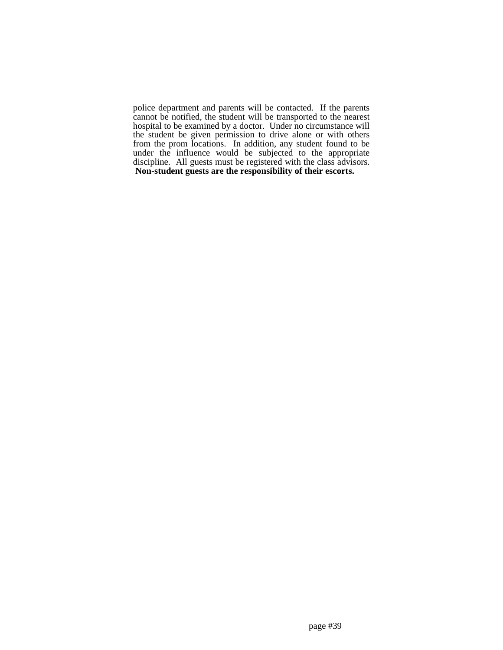police department and parents will be contacted. If the parents cannot be notified, the student will be transported to the nearest hospital to be examined by a doctor. Under no circumstance will the student be given permission to drive alone or with others from the prom locations. In addition, any student found to be under the influence would be subjected to the appropriate discipline. All guests must be registered with the class advisors. **Non-student guests are the responsibility of their escorts.**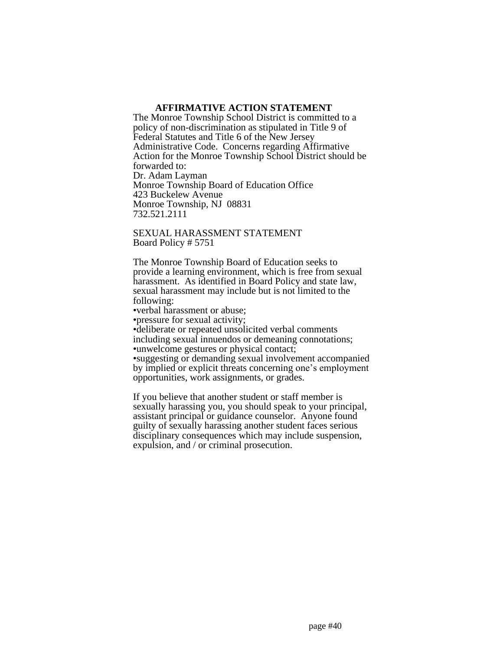## **AFFIRMATIVE ACTION STATEMENT**

The Monroe Township School District is committed to a policy of non-discrimination as stipulated in Title 9 of Federal Statutes and Title 6 of the New Jersey Administrative Code. Concerns regarding Affirmative Action for the Monroe Township School District should be forwarded to: Dr. Adam Layman Monroe Township Board of Education Office 423 Buckelew Avenue Monroe Township, NJ 08831 732.521.2111

SEXUAL HARASSMENT STATEMENT Board Policy # 5751

The Monroe Township Board of Education seeks to provide a learning environment, which is free from sexual harassment. As identified in Board Policy and state law, sexual harassment may include but is not limited to the following:

•verbal harassment or abuse;

•pressure for sexual activity;

•deliberate or repeated unsolicited verbal comments including sexual innuendos or demeaning connotations; •unwelcome gestures or physical contact; •suggesting or demanding sexual involvement accompanied

by implied or explicit threats concerning one's employment opportunities, work assignments, or grades.

If you believe that another student or staff member is sexually harassing you, you should speak to your principal, assistant principal or guidance counselor. Anyone found guilty of sexually harassing another student faces serious disciplinary consequences which may include suspension, expulsion, and / or criminal prosecution.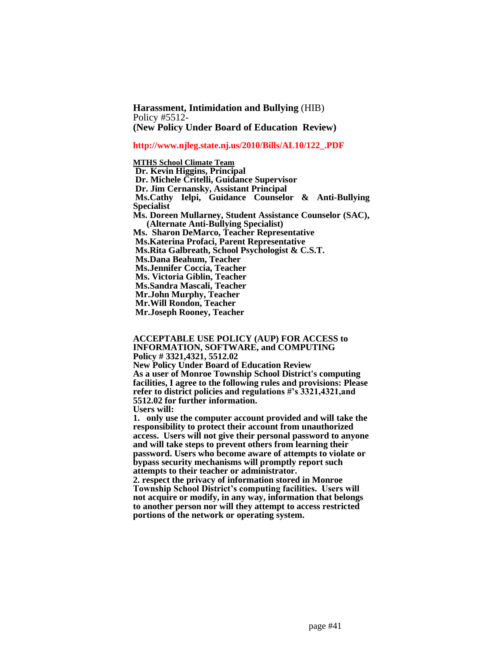**Harassment, Intimidation and Bullying** (HIB) Policy #5512- **(New Policy Under Board of Education Review)**

#### **http://www.njleg.state.nj.us/2010/Bills/AL10/122\_.PDF**

### **MTHS School Climate Team**

**Dr. Kevin Higgins, Principal Dr. Michele Critelli, Guidance Supervisor Dr. Jim Cernansky, Assistant Principal Ms.Cathy Ielpi, Guidance Counselor & Anti-Bullying Specialist Ms. Doreen Mullarney, Student Assistance Counselor (SAC), (Alternate Anti-Bullying Specialist) Ms. Sharon DeMarco, Teacher Representative Ms.Katerina Profaci, Parent Representative Ms.Rita Galbreath, School Psychologist & C.S.T. Ms.Dana Beahum, Teacher Ms.Jennifer Coccia, Teacher Ms. Victoria Giblin, Teacher Ms.Sandra Mascali, Teacher Mr.John Murphy, Teacher Mr.Will Rondon, Teacher Mr.Joseph Rooney, Teacher**

**ACCEPTABLE USE POLICY (AUP) FOR ACCESS to INFORMATION, SOFTWARE, and COMPUTING Policy # 3321,4321, 5512.02 New Policy Under Board of Education Review As a user of Monroe Township School District's computing facilities, I agree to the following rules and provisions: Please refer to district policies and regulations #'s 3321,4321,and 5512.02 for further information.** 

**Users will:**

**1. only use the computer account provided and will take the responsibility to protect their account from unauthorized access. Users will not give their personal password to anyone and will take steps to prevent others from learning their password. Users who become aware of attempts to violate or bypass security mechanisms will promptly report such attempts to their teacher or administrator.**

**2. respect the privacy of information stored in Monroe Township School District's computing facilities. Users will not acquire or modify, in any way, information that belongs to another person nor will they attempt to access restricted portions of the network or operating system.**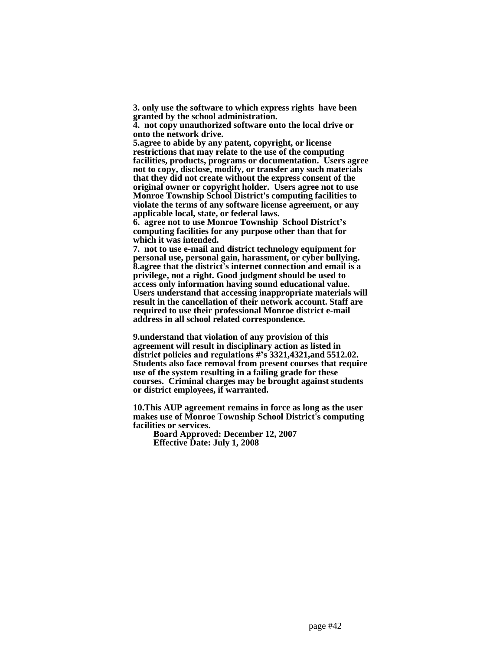**3. only use the software to which express rights have been granted by the school administration.** 

**4. not copy unauthorized software onto the local drive or onto the network drive.**

**5.agree to abide by any patent, copyright, or license restrictions that may relate to the use of the computing facilities, products, programs or documentation. Users agree not to copy, disclose, modify, or transfer any such materials that they did not create without the express consent of the original owner or copyright holder. Users agree not to use Monroe Township School District's computing facilities to violate the terms of any software license agreement, or any applicable local, state, or federal laws.**

**6. agree not to use Monroe Township School District's computing facilities for any purpose other than that for which it was intended.**

**7. not to use e-mail and district technology equipment for personal use, personal gain, harassment, or cyber bullying. 8.agree that the district's internet connection and email is a privilege, not a right. Good judgment should be used to access only information having sound educational value. Users understand that accessing inappropriate materials will result in the cancellation of their network account. Staff are required to use their professional Monroe district e-mail address in all school related correspondence.** 

**9.understand that violation of any provision of this agreement will result in disciplinary action as listed in district policies and regulations #'s 3321,4321,and 5512.02. Students also face removal from present courses that require use of the system resulting in a failing grade for these courses. Criminal charges may be brought against students or district employees, if warranted.** 

**10.This AUP agreement remains in force as long as the user makes use of Monroe Township School District's computing facilities or services.**

 **Board Approved: December 12, 2007 Effective Date: July 1, 2008**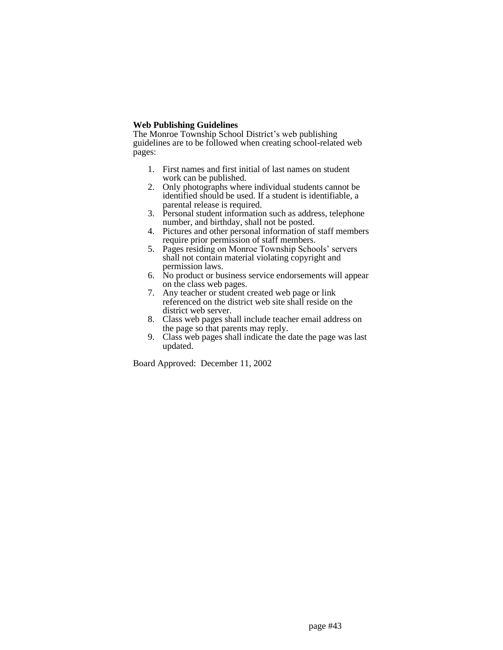## **Web Publishing Guidelines**

The Monroe Township School District's web publishing guidelines are to be followed when creating school-related web pages:

- 1. First names and first initial of last names on student work can be published.
- 2. Only photographs where individual students cannot be identified should be used. If a student is identifiable, a parental release is required.
- 3. Personal student information such as address, telephone number, and birthday, shall not be posted.
- 4. Pictures and other personal information of staff members require prior permission of staff members.
- 5. Pages residing on Monroe Township Schools' servers shall not contain material violating copyright and permission laws.
- 6. No product or business service endorsements will appear on the class web pages.
- 7. Any teacher or student created web page or link referenced on the district web site shall reside on the district web server.
- 8. Class web pages shall include teacher email address on the page so that parents may reply.
- 9. Class web pages shall indicate the date the page was last updated.

Board Approved: December 11, 2002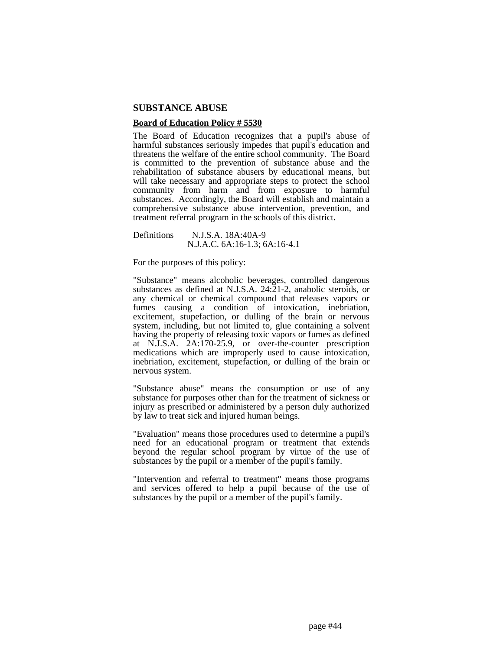### **SUBSTANCE ABUSE**

## **Board of Education Policy # 5530**

The Board of Education recognizes that a pupil's abuse of harmful substances seriously impedes that pupil's education and threatens the welfare of the entire school community. The Board is committed to the prevention of substance abuse and the rehabilitation of substance abusers by educational means, but will take necessary and appropriate steps to protect the school community from harm and from exposure to harmful substances. Accordingly, the Board will establish and maintain a comprehensive substance abuse intervention, prevention, and treatment referral program in the schools of this district.

Definitions N.J.S.A. 18A:40A-9 N.J.A.C. 6A:16-1.3; 6A:16-4.1

For the purposes of this policy:

"Substance" means alcoholic beverages, controlled dangerous substances as defined at N.J.S.A. 24:21-2, anabolic steroids, or any chemical or chemical compound that releases vapors or fumes causing a condition of intoxication, inebriation, excitement, stupefaction, or dulling of the brain or nervous system, including, but not limited to, glue containing a solvent having the property of releasing toxic vapors or fumes as defined at N.J.S.A. 2A:170-25.9, or over-the-counter prescription medications which are improperly used to cause intoxication, inebriation, excitement, stupefaction, or dulling of the brain or nervous system.

"Substance abuse" means the consumption or use of any substance for purposes other than for the treatment of sickness or injury as prescribed or administered by a person duly authorized by law to treat sick and injured human beings.

"Evaluation" means those procedures used to determine a pupil's need for an educational program or treatment that extends beyond the regular school program by virtue of the use of substances by the pupil or a member of the pupil's family.

"Intervention and referral to treatment" means those programs and services offered to help a pupil because of the use of substances by the pupil or a member of the pupil's family.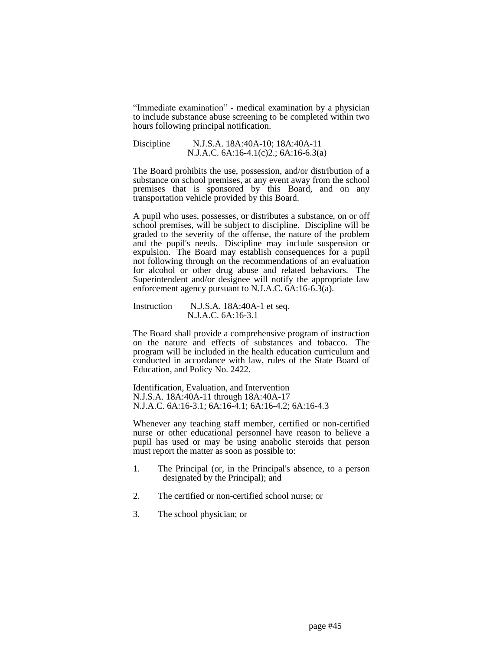"Immediate examination" - medical examination by a physician to include substance abuse screening to be completed within two hours following principal notification.

Discipline N.J.S.A. 18A:40A-10; 18A:40A-11 N.J.A.C. 6A:16-4.1(c)2.; 6A:16-6.3(a)

The Board prohibits the use, possession, and/or distribution of a substance on school premises, at any event away from the school premises that is sponsored by this Board, and on any transportation vehicle provided by this Board.

A pupil who uses, possesses, or distributes a substance, on or off school premises, will be subject to discipline. Discipline will be graded to the severity of the offense, the nature of the problem and the pupil's needs. Discipline may include suspension or expulsion. The Board may establish consequences for a pupil not following through on the recommendations of an evaluation for alcohol or other drug abuse and related behaviors. The Superintendent and/or designee will notify the appropriate law enforcement agency pursuant to N.J.A.C. 6A:16-6.3(a).

Instruction N.J.S.A. 18A:40A-1 et seq. N.J.A.C. 6A:16-3.1

The Board shall provide a comprehensive program of instruction on the nature and effects of substances and tobacco. The program will be included in the health education curriculum and conducted in accordance with law, rules of the State Board of Education, and Policy No. 2422.

Identification, Evaluation, and Intervention N.J.S.A. 18A:40A-11 through 18A:40A-17 N.J.A.C. 6A:16-3.1; 6A:16-4.1; 6A:16-4.2; 6A:16-4.3

Whenever any teaching staff member, certified or non-certified nurse or other educational personnel have reason to believe a pupil has used or may be using anabolic steroids that person must report the matter as soon as possible to:

- 1. The Principal (or, in the Principal's absence, to a person designated by the Principal); and
- 2. The certified or non-certified school nurse; or
- 3. The school physician; or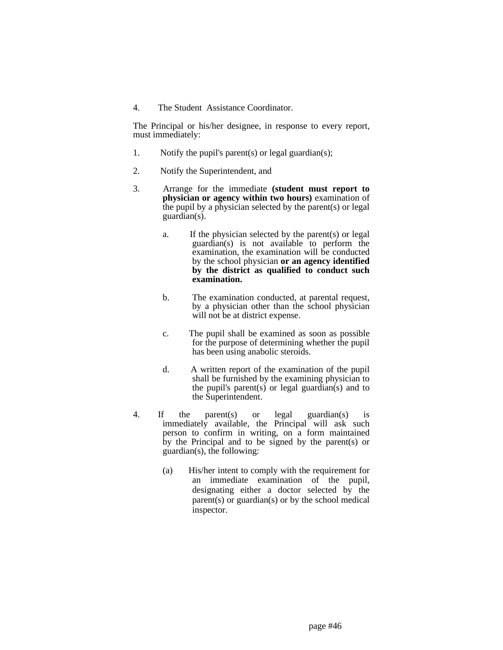4. The Student Assistance Coordinator.

The Principal or his/her designee, in response to every report, must immediately:

- 1. Notify the pupil's parent(s) or legal guardian(s);
- 2. Notify the Superintendent, and
- 3. Arrange for the immediate **(student must report to physician or agency within two hours)** examination of the pupil by a physician selected by the parent(s) or legal guardian(s).
	- a. If the physician selected by the parent(s) or legal guardian(s) is not available to perform the examination, the examination will be conducted by the school physician **or an agency identified by the district as qualified to conduct such examination.**
	- b. The examination conducted, at parental request, by a physician other than the school physician will not be at district expense.
	- c. The pupil shall be examined as soon as possible for the purpose of determining whether the pupil has been using anabolic steroids.
	- d. A written report of the examination of the pupil shall be furnished by the examining physician to the pupil's parent(s) or legal guardian(s) and to the Superintendent.
- 4. If the parent(s) or legal guardian(s) is immediately available, the Principal will ask such person to confirm in writing, on a form maintained by the Principal and to be signed by the parent(s) or guardian(s), the following:
	- (a) His/her intent to comply with the requirement for an immediate examination of the pupil, designating either a doctor selected by the parent(s) or guardian(s) or by the school medical inspector.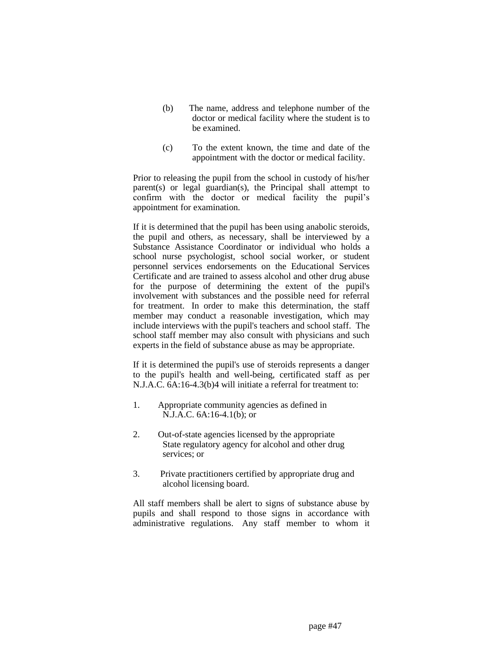- (b) The name, address and telephone number of the doctor or medical facility where the student is to be examined.
- (c) To the extent known, the time and date of the appointment with the doctor or medical facility.

Prior to releasing the pupil from the school in custody of his/her parent(s) or legal guardian(s), the Principal shall attempt to confirm with the doctor or medical facility the pupil's appointment for examination.

If it is determined that the pupil has been using anabolic steroids, the pupil and others, as necessary, shall be interviewed by a Substance Assistance Coordinator or individual who holds a school nurse psychologist, school social worker, or student personnel services endorsements on the Educational Services Certificate and are trained to assess alcohol and other drug abuse for the purpose of determining the extent of the pupil's involvement with substances and the possible need for referral for treatment. In order to make this determination, the staff member may conduct a reasonable investigation, which may include interviews with the pupil's teachers and school staff. The school staff member may also consult with physicians and such experts in the field of substance abuse as may be appropriate.

If it is determined the pupil's use of steroids represents a danger to the pupil's health and well-being, certificated staff as per N.J.A.C. 6A:16-4.3(b)4 will initiate a referral for treatment to:

- 1. Appropriate community agencies as defined in N.J.A.C. 6A:16-4.1(b); or
- 2. Out-of-state agencies licensed by the appropriate State regulatory agency for alcohol and other drug services; or
- 3. Private practitioners certified by appropriate drug and alcohol licensing board.

All staff members shall be alert to signs of substance abuse by pupils and shall respond to those signs in accordance with administrative regulations. Any staff member to whom it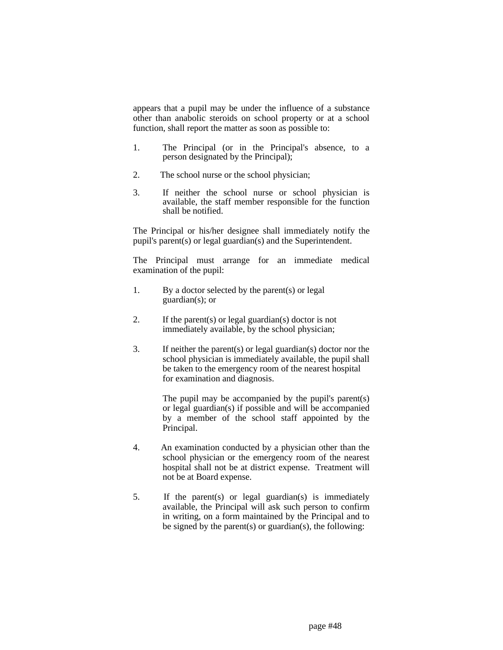appears that a pupil may be under the influence of a substance other than anabolic steroids on school property or at a school function, shall report the matter as soon as possible to:

- 1. The Principal (or in the Principal's absence, to a person designated by the Principal);
- 2. The school nurse or the school physician;
- 3. If neither the school nurse or school physician is available, the staff member responsible for the function shall be notified.

The Principal or his/her designee shall immediately notify the pupil's parent(s) or legal guardian(s) and the Superintendent.

The Principal must arrange for an immediate medical examination of the pupil:

- 1. By a doctor selected by the parent(s) or legal guardian(s); or
- 2. If the parent(s) or legal guardian(s) doctor is not immediately available, by the school physician;
- 3. If neither the parent(s) or legal guardian(s) doctor nor the school physician is immediately available, the pupil shall be taken to the emergency room of the nearest hospital for examination and diagnosis.

The pupil may be accompanied by the pupil's parent(s) or legal guardian(s) if possible and will be accompanied by a member of the school staff appointed by the Principal.

- 4. An examination conducted by a physician other than the school physician or the emergency room of the nearest hospital shall not be at district expense. Treatment will not be at Board expense.
- 5. If the parent(s) or legal guardian(s) is immediately available, the Principal will ask such person to confirm in writing, on a form maintained by the Principal and to be signed by the parent(s) or guardian(s), the following: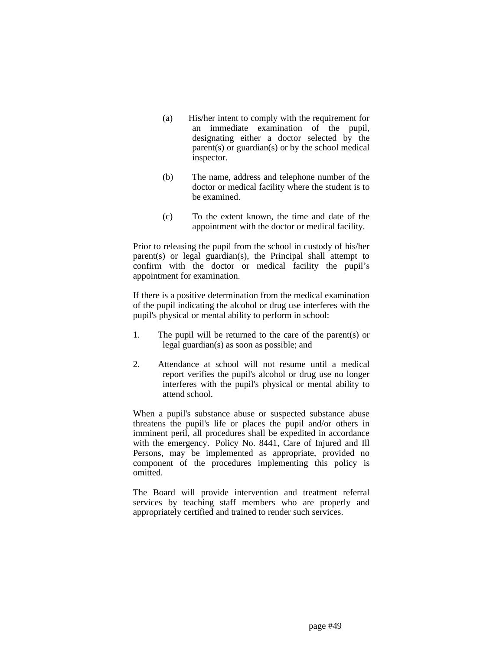- (a) His/her intent to comply with the requirement for an immediate examination of the pupil, designating either a doctor selected by the parent(s) or guardian(s) or by the school medical inspector.
- (b) The name, address and telephone number of the doctor or medical facility where the student is to be examined.
- (c) To the extent known, the time and date of the appointment with the doctor or medical facility.

Prior to releasing the pupil from the school in custody of his/her parent(s) or legal guardian(s), the Principal shall attempt to confirm with the doctor or medical facility the pupil's appointment for examination.

If there is a positive determination from the medical examination of the pupil indicating the alcohol or drug use interferes with the pupil's physical or mental ability to perform in school:

- 1. The pupil will be returned to the care of the parent(s) or legal guardian(s) as soon as possible; and
- 2. Attendance at school will not resume until a medical report verifies the pupil's alcohol or drug use no longer interferes with the pupil's physical or mental ability to attend school.

When a pupil's substance abuse or suspected substance abuse threatens the pupil's life or places the pupil and/or others in imminent peril, all procedures shall be expedited in accordance with the emergency. Policy No. 8441, Care of Injured and Ill Persons, may be implemented as appropriate, provided no component of the procedures implementing this policy is omitted.

The Board will provide intervention and treatment referral services by teaching staff members who are properly and appropriately certified and trained to render such services.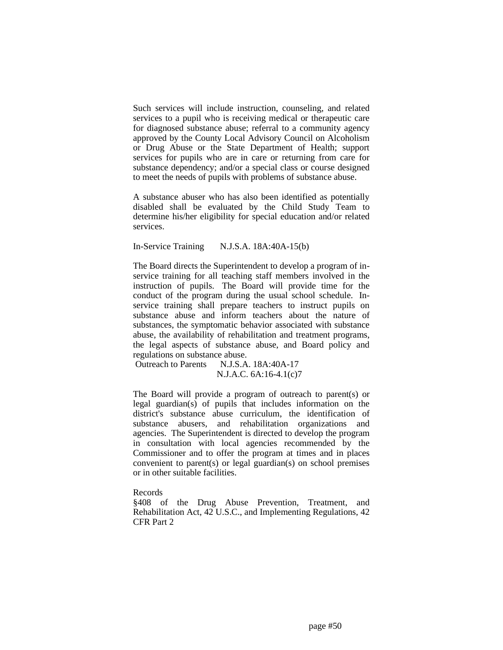Such services will include instruction, counseling, and related services to a pupil who is receiving medical or therapeutic care for diagnosed substance abuse; referral to a community agency approved by the County Local Advisory Council on Alcoholism or Drug Abuse or the State Department of Health; support services for pupils who are in care or returning from care for substance dependency; and/or a special class or course designed to meet the needs of pupils with problems of substance abuse.

A substance abuser who has also been identified as potentially disabled shall be evaluated by the Child Study Team to determine his/her eligibility for special education and/or related services.

In-Service Training N.J.S.A. 18A:40A-15(b)

The Board directs the Superintendent to develop a program of inservice training for all teaching staff members involved in the instruction of pupils. The Board will provide time for the conduct of the program during the usual school schedule. Inservice training shall prepare teachers to instruct pupils on substance abuse and inform teachers about the nature of substances, the symptomatic behavior associated with substance abuse, the availability of rehabilitation and treatment programs, the legal aspects of substance abuse, and Board policy and regulations on substance abuse.

Outreach to Parents N.J.S.A. 18A:40A-17 N.J.A.C. 6A:16-4.1(c)7

The Board will provide a program of outreach to parent(s) or legal guardian(s) of pupils that includes information on the district's substance abuse curriculum, the identification of substance abusers, and rehabilitation organizations and agencies. The Superintendent is directed to develop the program in consultation with local agencies recommended by the Commissioner and to offer the program at times and in places convenient to parent(s) or legal guardian(s) on school premises or in other suitable facilities.

Records

§408 of the Drug Abuse Prevention, Treatment, and Rehabilitation Act, 42 U.S.C., and Implementing Regulations, 42 CFR Part 2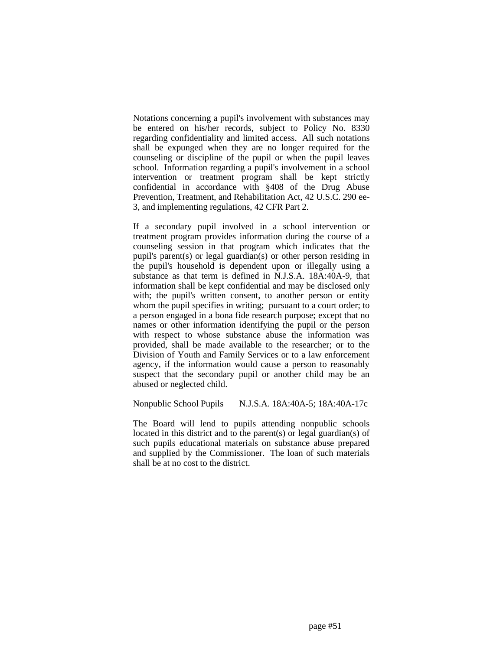Notations concerning a pupil's involvement with substances may be entered on his/her records, subject to Policy No. 8330 regarding confidentiality and limited access. All such notations shall be expunged when they are no longer required for the counseling or discipline of the pupil or when the pupil leaves school. Information regarding a pupil's involvement in a school intervention or treatment program shall be kept strictly confidential in accordance with §408 of the Drug Abuse Prevention, Treatment, and Rehabilitation Act, 42 U.S.C. 290 ee-3, and implementing regulations, 42 CFR Part 2.

If a secondary pupil involved in a school intervention or treatment program provides information during the course of a counseling session in that program which indicates that the pupil's parent(s) or legal guardian(s) or other person residing in the pupil's household is dependent upon or illegally using a substance as that term is defined in N.J.S.A. 18A:40A-9, that information shall be kept confidential and may be disclosed only with; the pupil's written consent, to another person or entity whom the pupil specifies in writing; pursuant to a court order; to a person engaged in a bona fide research purpose; except that no names or other information identifying the pupil or the person with respect to whose substance abuse the information was provided, shall be made available to the researcher; or to the Division of Youth and Family Services or to a law enforcement agency, if the information would cause a person to reasonably suspect that the secondary pupil or another child may be an abused or neglected child.

## Nonpublic School Pupils N.J.S.A. 18A:40A-5; 18A:40A-17c

The Board will lend to pupils attending nonpublic schools located in this district and to the parent(s) or legal guardian(s) of such pupils educational materials on substance abuse prepared and supplied by the Commissioner. The loan of such materials shall be at no cost to the district.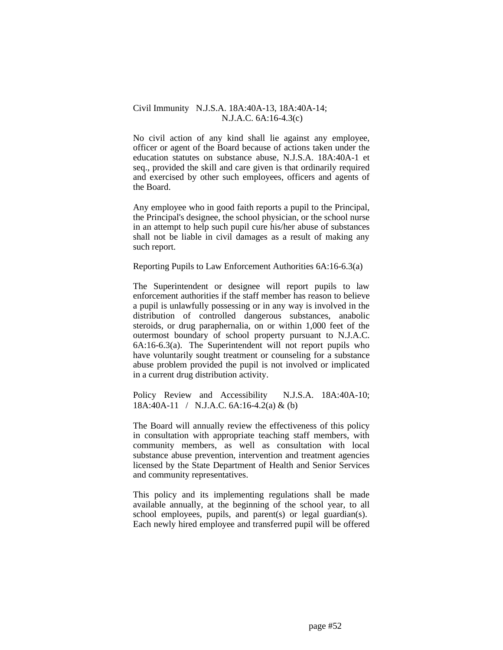## Civil Immunity N.J.S.A. 18A:40A-13, 18A:40A-14; N.J.A.C. 6A:16-4.3(c)

No civil action of any kind shall lie against any employee, officer or agent of the Board because of actions taken under the education statutes on substance abuse, N.J.S.A. 18A:40A-1 et seq., provided the skill and care given is that ordinarily required and exercised by other such employees, officers and agents of the Board.

Any employee who in good faith reports a pupil to the Principal, the Principal's designee, the school physician, or the school nurse in an attempt to help such pupil cure his/her abuse of substances shall not be liable in civil damages as a result of making any such report.

## Reporting Pupils to Law Enforcement Authorities 6A:16-6.3(a)

The Superintendent or designee will report pupils to law enforcement authorities if the staff member has reason to believe a pupil is unlawfully possessing or in any way is involved in the distribution of controlled dangerous substances, anabolic steroids, or drug paraphernalia, on or within 1,000 feet of the outermost boundary of school property pursuant to N.J.A.C. 6A:16-6.3(a). The Superintendent will not report pupils who have voluntarily sought treatment or counseling for a substance abuse problem provided the pupil is not involved or implicated in a current drug distribution activity.

Policy Review and Accessibility N.J.S.A. 18A:40A-10; 18A:40A-11 / N.J.A.C. 6A:16-4.2(a) & (b)

The Board will annually review the effectiveness of this policy in consultation with appropriate teaching staff members, with community members, as well as consultation with local substance abuse prevention, intervention and treatment agencies licensed by the State Department of Health and Senior Services and community representatives.

This policy and its implementing regulations shall be made available annually, at the beginning of the school year, to all school employees, pupils, and parent(s) or legal guardian(s). Each newly hired employee and transferred pupil will be offered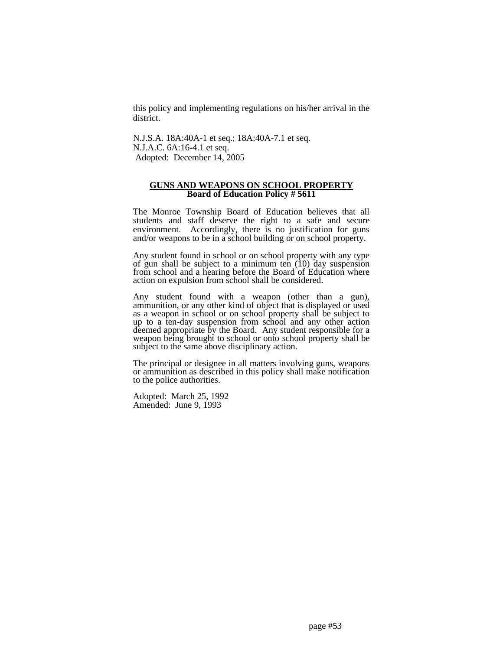this policy and implementing regulations on his/her arrival in the district.

N.J.S.A. 18A:40A-1 et seq.; 18A:40A-7.1 et seq. N.J.A.C. 6A:16-4.1 et seq. Adopted: December 14, 2005

### **GUNS AND WEAPONS ON SCHOOL PROPERTY Board of Education Policy # 5611**

The Monroe Township Board of Education believes that all students and staff deserve the right to a safe and secure environment. Accordingly, there is no justification for guns and/or weapons to be in a school building or on school property.

Any student found in school or on school property with any type of gun shall be subject to a minimum ten (10) day suspension from school and a hearing before the Board of Education where action on expulsion from school shall be considered.

Any student found with a weapon (other than a gun), ammunition, or any other kind of object that is displayed or used as a weapon in school or on school property shall be subject to up to a ten-day suspension from school and any other action deemed appropriate by the Board. Any student responsible for a weapon being brought to school or onto school property shall be subject to the same above disciplinary action.

The principal or designee in all matters involving guns, weapons or ammunition as described in this policy shall make notification to the police authorities.

Adopted: March 25, 1992 Amended: June 9, 1993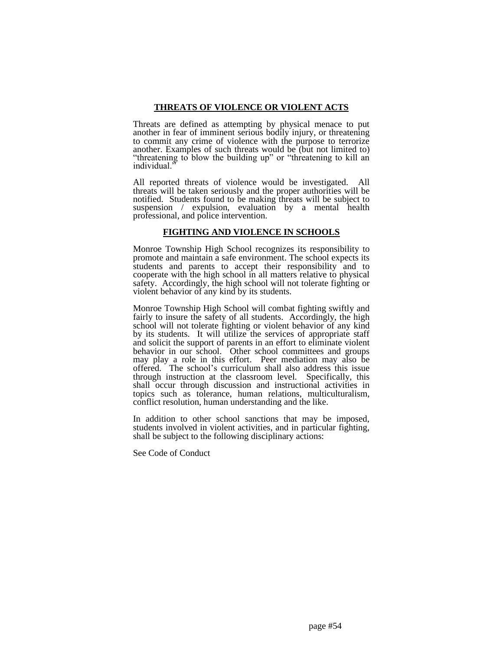## **THREATS OF VIOLENCE OR VIOLENT ACTS**

Threats are defined as attempting by physical menace to put another in fear of imminent serious bodily injury, or threatening to commit any crime of violence with the purpose to terrorize another. Examples of such threats would be  $(\text{bit not limited to})$ "threatening to blow the building up" or "threatening to kill an individual.'

All reported threats of violence would be investigated. All threats will be taken seriously and the proper authorities will be notified. Students found to be making threats will be subject to suspension / expulsion, evaluation by a mental health professional, and police intervention.

## **FIGHTING AND VIOLENCE IN SCHOOLS**

Monroe Township High School recognizes its responsibility to promote and maintain a safe environment. The school expects its students and parents to accept their responsibility and to cooperate with the high school in all matters relative to physical safety. Accordingly, the high school will not tolerate fighting or violent behavior of any kind by its students.

Monroe Township High School will combat fighting swiftly and fairly to insure the safety of all students. Accordingly, the high school will not tolerate fighting or violent behavior of any kind by its students. It will utilize the services of appropriate staff and solicit the support of parents in an effort to eliminate violent behavior in our school. Other school committees and groups may play a role in this effort. Peer mediation may also be offered. The school's curriculum shall also address this issue through instruction at the classroom level. Specifically, this shall occur through discussion and instructional activities in topics such as tolerance, human relations, multiculturalism, conflict resolution, human understanding and the like.

In addition to other school sanctions that may be imposed, students involved in violent activities, and in particular fighting, shall be subject to the following disciplinary actions:

See Code of Conduct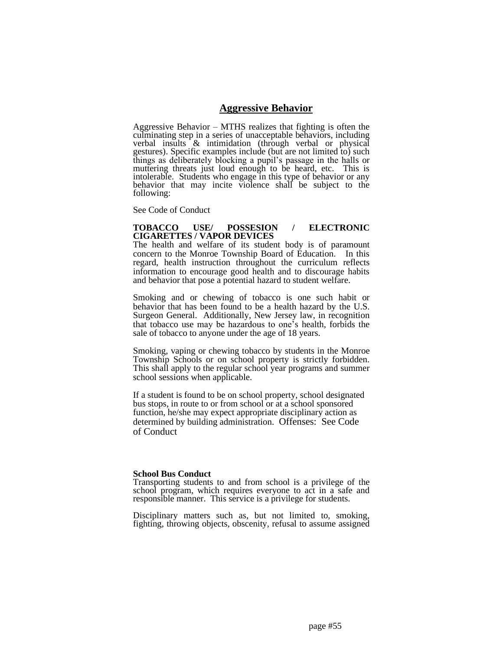## **Aggressive Behavior**

Aggressive Behavior – MTHS realizes that fighting is often the culminating step in a series of unacceptable behaviors, including verbal insults & intimidation (through verbal or physical gestures). Specific examples include (but are not limited to) such things as deliberately blocking a pupil's passage in the halls or muttering threats just loud enough to be heard, etc. This is intolerable. Students who engage in this type of behavior or any behavior that may incite violence shall be subject to the following:

See Code of Conduct

#### **TOBACCO USE/ POSSESION / ELECTRONIC CIGARETTES / VAPOR DEVICES**

The health and welfare of its student body is of paramount concern to the Monroe Township Board of Education. In this regard, health instruction throughout the curriculum reflects information to encourage good health and to discourage habits and behavior that pose a potential hazard to student welfare.

Smoking and or chewing of tobacco is one such habit or behavior that has been found to be a health hazard by the U.S. Surgeon General. Additionally, New Jersey law, in recognition that tobacco use may be hazardous to one's health, forbids the sale of tobacco to anyone under the age of 18 years.

Smoking, vaping or chewing tobacco by students in the Monroe Township Schools or on school property is strictly forbidden. This shall apply to the regular school year programs and summer school sessions when applicable.

If a student is found to be on school property, school designated bus stops, in route to or from school or at a school sponsored function, he/she may expect appropriate disciplinary action as determined by building administration. Offenses: See Code of Conduct

#### **School Bus Conduct**

Transporting students to and from school is a privilege of the school program, which requires everyone to act in a safe and responsible manner. This service is a privilege for students.

Disciplinary matters such as, but not limited to, smoking, fighting, throwing objects, obscenity, refusal to assume assigned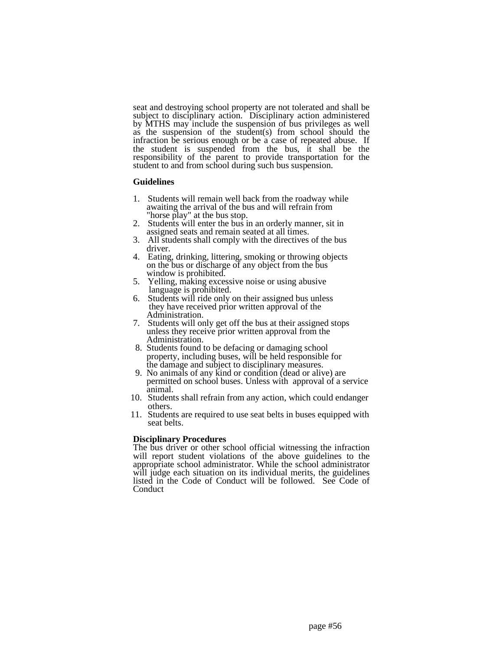seat and destroying school property are not tolerated and shall be subject to disciplinary action. Disciplinary action administered by MTHS may include the suspension of bus privileges as well as the suspension of the student(s) from school should the infraction be serious enough or be a case of repeated abuse. If the student is suspended from the bus, it shall be the responsibility of the parent to provide transportation for the student to and from school during such bus suspension.

#### **Guidelines**

- 1. Students will remain well back from the roadway while awaiting the arrival of the bus and will refrain from "horse play" at the bus stop.
- 2. Students will enter the bus in an orderly manner, sit in assigned seats and remain seated at all times.
- 3. All students shall comply with the directives of the bus driver.
- 4. Eating, drinking, littering, smoking or throwing objects on the bus or discharge of any object from the bus window is prohibited.
- 5. Yelling, making excessive noise or using abusive language is prohibited.
- 6. Students will ride only on their assigned bus unless they have received prior written approval of the Administration.
- 7. Students will only get off the bus at their assigned stops unless they receive prior written approval from the Administration.
- 8. Students found to be defacing or damaging school property, including buses, will be held responsible for the damage and subject to disciplinary measures.
- 9. No animals of any kind or condition (dead or alive) are permitted on school buses. Unless with approval of a service animal.
- 10. Students shall refrain from any action, which could endanger others.
- 11. Students are required to use seat belts in buses equipped with seat belts.

#### **Disciplinary Procedures**

The bus driver or other school official witnessing the infraction will report student violations of the above guidelines to the appropriate school administrator. While the school administrator will judge each situation on its individual merits, the guidelines listed in the Code of Conduct will be followed. See Code of Conduct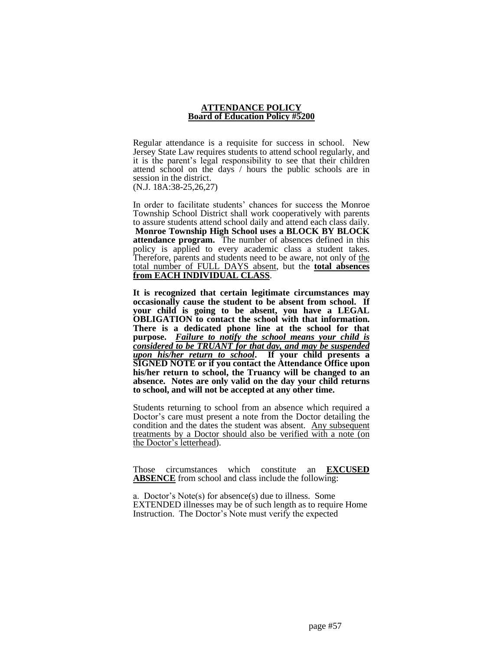#### **ATTENDANCE POLICY Board of Education Policy #5200**

Regular attendance is a requisite for success in school. New Jersey State Law requires students to attend school regularly, and it is the parent's legal responsibility to see that their children attend school on the days / hours the public schools are in session in the district. (N.J. 18A:38-25,26,27)

In order to facilitate students' chances for success the Monroe Township School District shall work cooperatively with parents to assure students attend school daily and attend each class daily. **Monroe Township High School uses a BLOCK BY BLOCK attendance program.** The number of absences defined in this policy is applied to every academic class a student takes. Therefore, parents and students need to be aware, not only of the total number of FULL DAYS absent, but the **total absences from EACH INDIVIDUAL CLASS**.

**It is recognized that certain legitimate circumstances may occasionally cause the student to be absent from school. If your child is going to be absent, you have a LEGAL OBLIGATION** to contact the school with that information. **There is a dedicated phone line at the school for that purpose.** *Failure to notify the school means your child is considered to be TRUANT for that day, and may be suspended upon his/her return to school***. If your child presents a SIGNED NOTE or if you contact the Attendance Office upon his/her return to school, the Truancy will be changed to an absence. Notes are only valid on the day your child returns to school, and will not be accepted at any other time.**

Students returning to school from an absence which required a Doctor's care must present a note from the Doctor detailing the condition and the dates the student was absent. Any subsequent treatments by a Doctor should also be verified with a note (on the Doctor's letterhead).

Those circumstances which constitute an **EXCUSED ABSENCE** from school and class include the following:

a. Doctor's Note(s) for absence(s) due to illness. Some EXTENDED illnesses may be of such length as to require Home Instruction. The Doctor's Note must verify the expected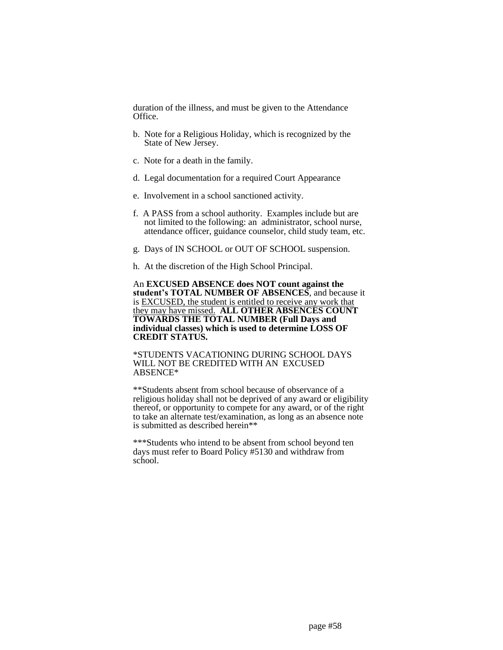duration of the illness, and must be given to the Attendance Office.

- b. Note for a Religious Holiday, which is recognized by the State of New Jersey.
- c. Note for a death in the family.
- d. Legal documentation for a required Court Appearance
- e. Involvement in a school sanctioned activity.
- f. A PASS from a school authority. Examples include but are not limited to the following: an administrator, school nurse, attendance officer, guidance counselor, child study team, etc.
- g. Days of IN SCHOOL or OUT OF SCHOOL suspension.
- h. At the discretion of the High School Principal.

An **EXCUSED ABSENCE does NOT count against the student's TOTAL NUMBER OF ABSENCES**, and because it is EXCUSED, the student is entitled to receive any work that they may have missed. **ALL OTHER ABSENCES COUNT TOWARDS THE TOTAL NUMBER (Full Days and individual classes) which is used to determine LOSS OF CREDIT STATUS.**

\*STUDENTS VACATIONING DURING SCHOOL DAYS WILL NOT BE CREDITED WITH AN EXCUSED ABSENCE\*

\*\*Students absent from school because of observance of a religious holiday shall not be deprived of any award or eligibility thereof, or opportunity to compete for any award, or of the right to take an alternate test/examination, as long as an absence note is submitted as described herein\*\*

\*\*\*Students who intend to be absent from school beyond ten days must refer to Board Policy #5130 and withdraw from school.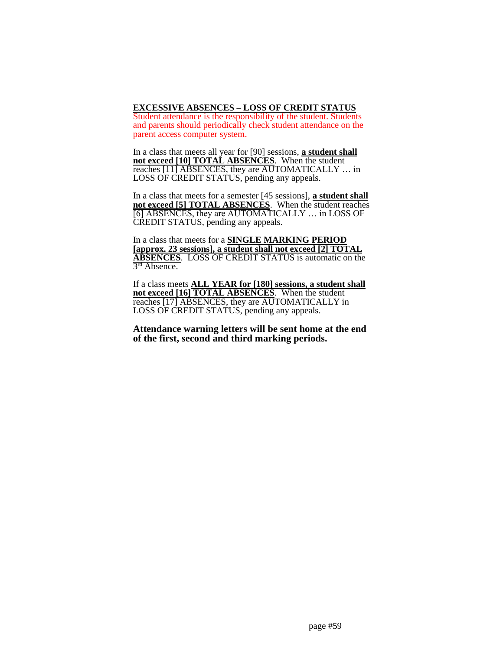**EXCESSIVE ABSENCES – LOSS OF CREDIT STATUS** Student attendance is the responsibility of the student. Students and parents should periodically check student attendance on the parent access computer system.

In a class that meets all year for [90] sessions, **a student shall**  not exceed [10] **TOTAL ABSENCES**. When the student reaches [11] ABSENCES, they are AUTOMATICALLY … in LOSS OF CREDIT STATUS, pending any appeals.

In a class that meets for a semester [45 sessions], **a student shall not exceed [5] TOTAL ABSENCES**. When the student reaches [6] ABSENCES, they are AUTOMATICALLY … in LOSS OF CREDIT STATUS, pending any appeals.

In a class that meets for a **SINGLE MARKING PERIOD [approx. 23 sessions], a student shall not exceed [2] TOTAL ABSENCES**. LOSS OF CREDIT STATUS is automatic on the 3 rd Absence.

If a class meets **ALL YEAR for [180] sessions, a student shall not exceed [16] TOTAL ABSENCES**. When the student reaches [17] ABSENCES, they are AUTOMATICALLY in LOSS OF CREDIT STATUS, pending any appeals.

**Attendance warning letters will be sent home at the end of the first, second and third marking periods.**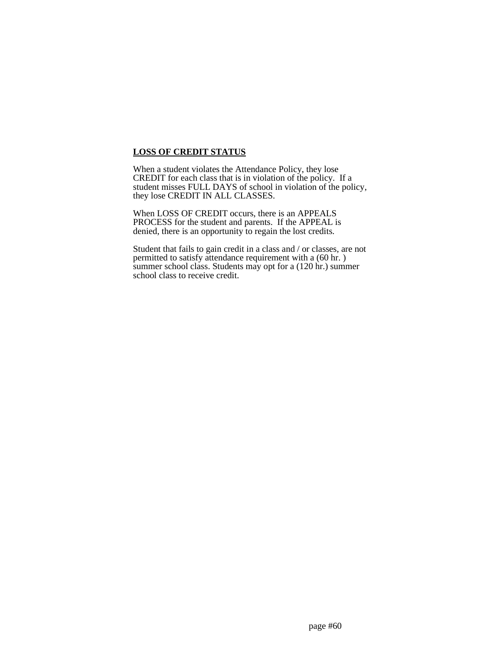## **LOSS OF CREDIT STATUS**

When a student violates the Attendance Policy, they lose CREDIT for each class that is in violation of the policy. If a student misses FULL DAYS of school in violation of the policy, they lose CREDIT IN ALL CLASSES.

When LOSS OF CREDIT occurs, there is an APPEALS PROCESS for the student and parents. If the APPEAL is denied, there is an opportunity to regain the lost credits.

Student that fails to gain credit in a class and / or classes, are not permitted to satisfy attendance requirement with a (60 hr. ) summer school class. Students may opt for a (120 hr.) summer school class to receive credit.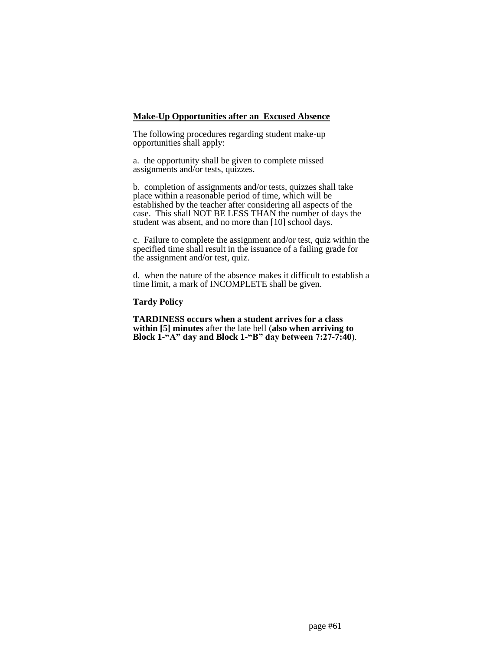#### **Make-Up Opportunities after an Excused Absence**

The following procedures regarding student make-up opportunities shall apply:

a. the opportunity shall be given to complete missed assignments and/or tests, quizzes.

b. completion of assignments and/or tests, quizzes shall take place within a reasonable period of time, which will be established by the teacher after considering all aspects of the case. This shall NOT BE LESS THAN the number of days the student was absent, and no more than [10] school days.

c. Failure to complete the assignment and/or test, quiz within the specified time shall result in the issuance of a failing grade for the assignment and/or test, quiz.

d. when the nature of the absence makes it difficult to establish a time limit, a mark of INCOMPLETE shall be given.

## **Tardy Policy**

**TARDINESS occurs when a student arrives for a class within [5] minutes** after the late bell (**also when arriving to Block 1-"A" day and Block 1-"B" day between 7:27-7:40**).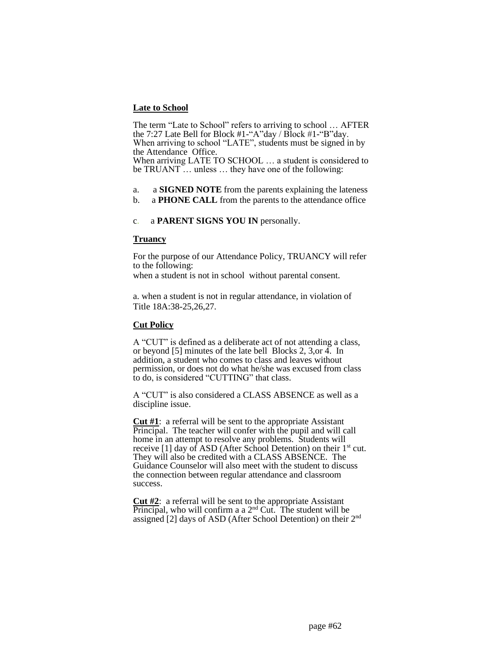## **Late to School**

The term "Late to School" refers to arriving to school … AFTER the 7:27 Late Bell for Block #1-"A"day / Block #1-"B"day. When arriving to school "LATE", students must be signed in by the Attendance Office. When arriving LATE TO SCHOOL … a student is considered to be TRUANT … unless … they have one of the following:

- a. a **SIGNED NOTE** from the parents explaining the lateness
- b. a **PHONE CALL** from the parents to the attendance office

## c. a **PARENT SIGNS YOU IN** personally.

### **Truancy**

For the purpose of our Attendance Policy, TRUANCY will refer to the following:

when a student is not in school without parental consent.

a. when a student is not in regular attendance, in violation of Title 18A:38-25,26,27.

#### **Cut Policy**

A "CUT" is defined as a deliberate act of not attending a class, or beyond [5] minutes of the late bell Blocks 2, 3,or 4. In addition, a student who comes to class and leaves without permission, or does not do what he/she was excused from class to do, is considered "CUTTING" that class.

A "CUT" is also considered a CLASS ABSENCE as well as a discipline issue.

**Cut #1**: a referral will be sent to the appropriate Assistant Principal. The teacher will confer with the pupil and will call home in an attempt to resolve any problems. Students will receive [1] day of ASD (After School Detention) on their  $1<sup>st</sup>$  cut. They will also be credited with a CLASS ABSENCE. The Guidance Counselor will also meet with the student to discuss the connection between regular attendance and classroom success.

**Cut #2**: a referral will be sent to the appropriate Assistant Principal, who will confirm a a  $2<sup>nd</sup>$  Cut. The student will be assigned [2] days of ASD (After School Detention) on their 2nd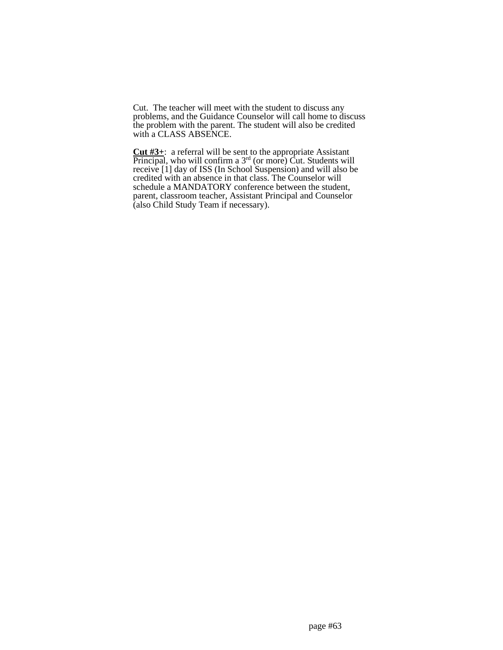Cut. The teacher will meet with the student to discuss any problems, and the Guidance Counselor will call home to discuss the problem with the parent. The student will also be credited with a CLASS ABSENCE.

**Cut #3+**: a referral will be sent to the appropriate Assistant Principal, who will confirm a  $3<sup>rd</sup>$  (or more) Cut. Students will receive [1] day of ISS (In School Suspension) and will also be credited with an absence in that class. The Counselor will schedule a MANDATORY conference between the student, parent, classroom teacher, Assistant Principal and Counselor (also Child Study Team if necessary).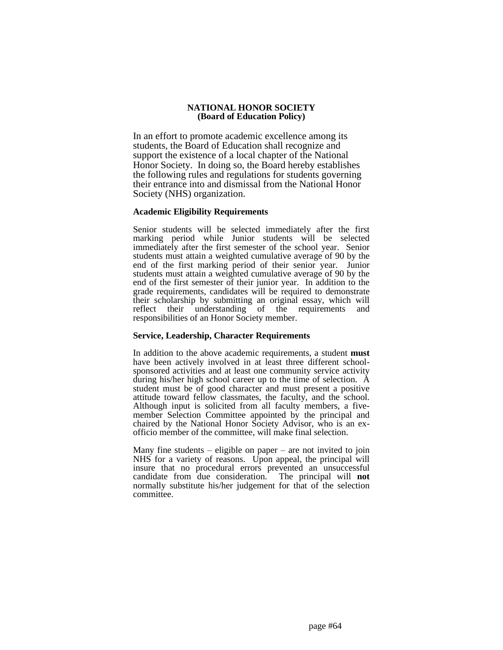### **NATIONAL HONOR SOCIETY (Board of Education Policy)**

In an effort to promote academic excellence among its students, the Board of Education shall recognize and support the existence of a local chapter of the National Honor Society. In doing so, the Board hereby establishes the following rules and regulations for students governing their entrance into and dismissal from the National Honor Society (NHS) organization.

## **Academic Eligibility Requirements**

Senior students will be selected immediately after the first marking period while Junior students will be selected immediately after the first semester of the school year. Senior students must attain a weighted cumulative average of 90 by the end of the first marking period of their senior year. Junior students must attain a weighted cumulative average of 90 by the end of the first semester of their junior year. In addition to the grade requirements, candidates will be required to demonstrate their scholarship by submitting an original essay, which will reflect their understanding of the requirements and responsibilities of an Honor Society member.

### **Service, Leadership, Character Requirements**

In addition to the above academic requirements, a student **must** have been actively involved in at least three different schoolsponsored activities and at least one community service activity during his/her high school career up to the time of selection. A student must be of good character and must present a positive attitude toward fellow classmates, the faculty, and the school. Although input is solicited from all faculty members, a fivemember Selection Committee appointed by the principal and chaired by the National Honor Society Advisor, who is an exofficio member of the committee, will make final selection.

Many fine students – eligible on paper – are not invited to join NHS for a variety of reasons. Upon appeal, the principal will insure that no procedural errors prevented an unsuccessful candidate from due consideration. The principal will **not** normally substitute his/her judgement for that of the selection committee.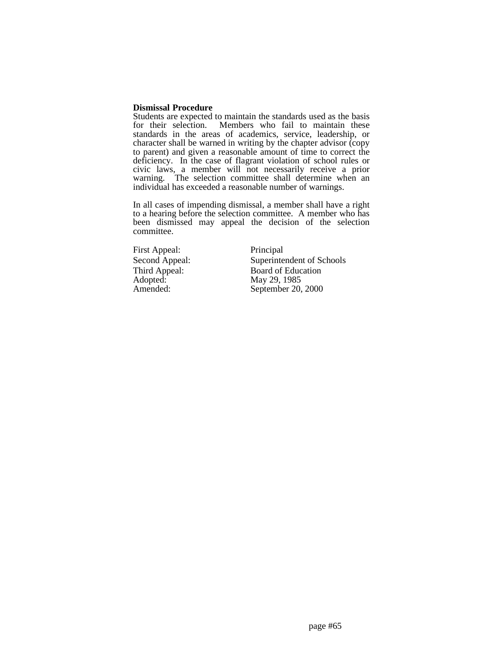#### **Dismissal Procedure**

Students are expected to maintain the standards used as the basis for their selection. Members who fail to maintain these standards in the areas of academics, service, leadership, or character shall be warned in writing by the chapter advisor (copy to parent) and given a reasonable amount of time to correct the deficiency. In the case of flagrant violation of school rules or civic laws, a member will not necessarily receive a prior warning. The selection committee shall determine when an individual has exceeded a reasonable number of warnings.

In all cases of impending dismissal, a member shall have a right to a hearing before the selection committee. A member who has been dismissed may appeal the decision of the selection committee.

First Appeal: Principal Adopted: May 29, 1985<br>Amended: September 20.

Second Appeal: Superintendent of Schools Third Appeal: Board of Education<br>Adopted: May 29, 1985 September 20, 2000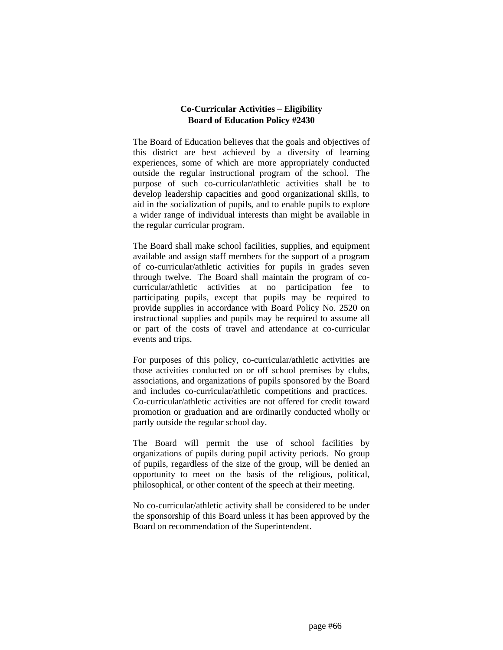## **Co-Curricular Activities – Eligibility Board of Education Policy #2430**

The Board of Education believes that the goals and objectives of this district are best achieved by a diversity of learning experiences, some of which are more appropriately conducted outside the regular instructional program of the school. The purpose of such co-curricular/athletic activities shall be to develop leadership capacities and good organizational skills, to aid in the socialization of pupils, and to enable pupils to explore a wider range of individual interests than might be available in the regular curricular program.

The Board shall make school facilities, supplies, and equipment available and assign staff members for the support of a program of co-curricular/athletic activities for pupils in grades seven through twelve. The Board shall maintain the program of cocurricular/athletic activities at no participation fee to participating pupils, except that pupils may be required to provide supplies in accordance with Board Policy No. 2520 on instructional supplies and pupils may be required to assume all or part of the costs of travel and attendance at co-curricular events and trips.

For purposes of this policy, co-curricular/athletic activities are those activities conducted on or off school premises by clubs, associations, and organizations of pupils sponsored by the Board and includes co-curricular/athletic competitions and practices. Co-curricular/athletic activities are not offered for credit toward promotion or graduation and are ordinarily conducted wholly or partly outside the regular school day.

The Board will permit the use of school facilities by organizations of pupils during pupil activity periods. No group of pupils, regardless of the size of the group, will be denied an opportunity to meet on the basis of the religious, political, philosophical, or other content of the speech at their meeting.

No co-curricular/athletic activity shall be considered to be under the sponsorship of this Board unless it has been approved by the Board on recommendation of the Superintendent.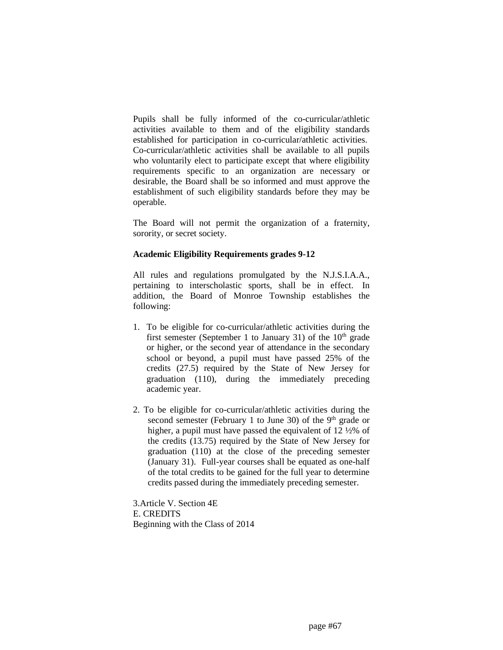Pupils shall be fully informed of the co-curricular/athletic activities available to them and of the eligibility standards established for participation in co-curricular/athletic activities. Co-curricular/athletic activities shall be available to all pupils who voluntarily elect to participate except that where eligibility requirements specific to an organization are necessary or desirable, the Board shall be so informed and must approve the establishment of such eligibility standards before they may be operable.

The Board will not permit the organization of a fraternity, sorority, or secret society.

## **Academic Eligibility Requirements grades 9-12**

All rules and regulations promulgated by the N.J.S.I.A.A., pertaining to interscholastic sports, shall be in effect. In addition, the Board of Monroe Township establishes the following:

- 1. To be eligible for co-curricular/athletic activities during the first semester (September 1 to January 31) of the  $10<sup>th</sup>$  grade or higher, or the second year of attendance in the secondary school or beyond, a pupil must have passed 25% of the credits (27.5) required by the State of New Jersey for graduation (110), during the immediately preceding academic year.
- 2. To be eligible for co-curricular/athletic activities during the second semester (February 1 to June 30) of the  $9<sup>th</sup>$  grade or higher, a pupil must have passed the equivalent of 12 ½% of the credits (13.75) required by the State of New Jersey for graduation (110) at the close of the preceding semester (January 31). Full-year courses shall be equated as one-half of the total credits to be gained for the full year to determine credits passed during the immediately preceding semester.

3.Article V. Section 4E E. CREDITS Beginning with the Class of 2014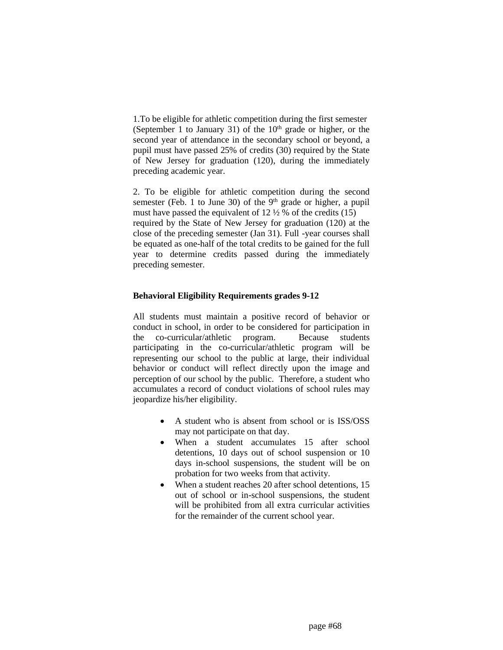1.To be eligible for athletic competition during the first semester (September 1 to January 31) of the  $10<sup>th</sup>$  grade or higher, or the second year of attendance in the secondary school or beyond, a pupil must have passed 25% of credits (30) required by the State of New Jersey for graduation (120), during the immediately preceding academic year.

2. To be eligible for athletic competition during the second semester (Feb. 1 to June 30) of the  $9<sup>th</sup>$  grade or higher, a pupil must have passed the equivalent of  $12\frac{1}{2}$  % of the credits (15) required by the State of New Jersey for graduation (120) at the close of the preceding semester (Jan 31). Full -year courses shall be equated as one-half of the total credits to be gained for the full year to determine credits passed during the immediately preceding semester.

## **Behavioral Eligibility Requirements grades 9-12**

All students must maintain a positive record of behavior or conduct in school, in order to be considered for participation in the co-curricular/athletic program. Because students participating in the co-curricular/athletic program will be representing our school to the public at large, their individual behavior or conduct will reflect directly upon the image and perception of our school by the public. Therefore, a student who accumulates a record of conduct violations of school rules may jeopardize his/her eligibility.

- A student who is absent from school or is ISS/OSS may not participate on that day.
- When a student accumulates 15 after school detentions, 10 days out of school suspension or 10 days in-school suspensions, the student will be on probation for two weeks from that activity.
- When a student reaches 20 after school detentions, 15 out of school or in-school suspensions, the student will be prohibited from all extra curricular activities for the remainder of the current school year.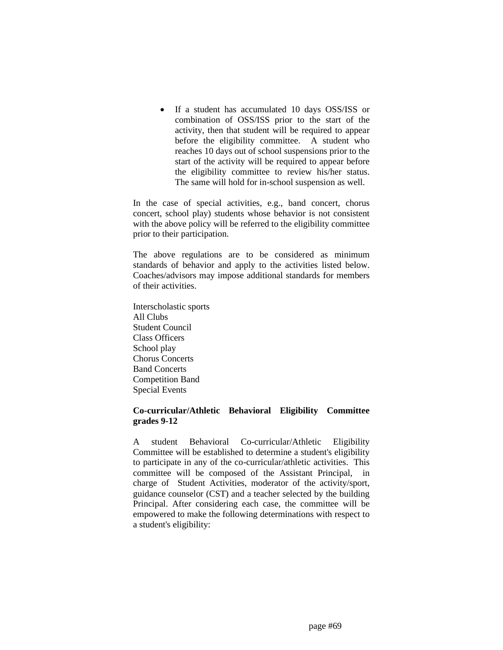• If a student has accumulated 10 days OSS/ISS or combination of OSS/ISS prior to the start of the activity, then that student will be required to appear before the eligibility committee. A student who reaches 10 days out of school suspensions prior to the start of the activity will be required to appear before the eligibility committee to review his/her status. The same will hold for in-school suspension as well.

In the case of special activities, e.g., band concert, chorus concert, school play) students whose behavior is not consistent with the above policy will be referred to the eligibility committee prior to their participation.

The above regulations are to be considered as minimum standards of behavior and apply to the activities listed below. Coaches/advisors may impose additional standards for members of their activities.

Interscholastic sports All Clubs Student Council Class Officers School play Chorus Concerts Band Concerts Competition Band Special Events

## **Co-curricular/Athletic Behavioral Eligibility Committee grades 9-12**

A student Behavioral Co-curricular/Athletic Eligibility Committee will be established to determine a student's eligibility to participate in any of the co-curricular/athletic activities. This committee will be composed of the Assistant Principal, in charge of Student Activities, moderator of the activity/sport, guidance counselor (CST) and a teacher selected by the building Principal. After considering each case, the committee will be empowered to make the following determinations with respect to a student's eligibility: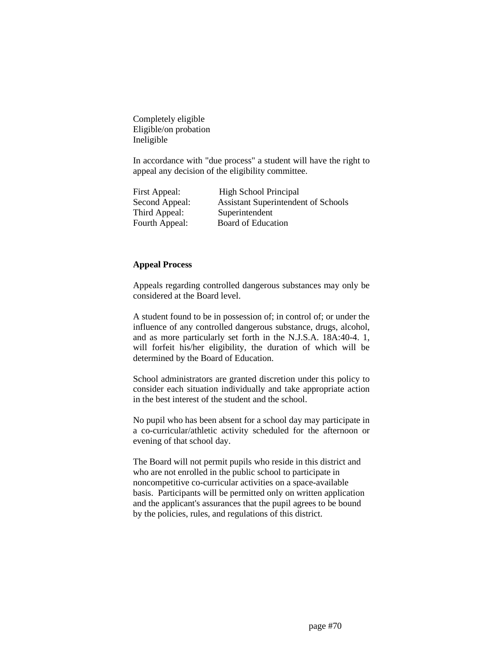Completely eligible Eligible/on probation Ineligible

In accordance with "due process" a student will have the right to appeal any decision of the eligibility committee.

| First Appeal:  | <b>High School Principal</b>               |  |
|----------------|--------------------------------------------|--|
| Second Appeal: | <b>Assistant Superintendent of Schools</b> |  |
| Third Appeal:  | Superintendent                             |  |
| Fourth Appeal: | Board of Education                         |  |

## **Appeal Process**

Appeals regarding controlled dangerous substances may only be considered at the Board level.

A student found to be in possession of; in control of; or under the influence of any controlled dangerous substance, drugs, alcohol, and as more particularly set forth in the N.J.S.A. 18A:40-4. 1, will forfeit his/her eligibility, the duration of which will be determined by the Board of Education.

School administrators are granted discretion under this policy to consider each situation individually and take appropriate action in the best interest of the student and the school.

No pupil who has been absent for a school day may participate in a co-curricular/athletic activity scheduled for the afternoon or evening of that school day.

The Board will not permit pupils who reside in this district and who are not enrolled in the public school to participate in noncompetitive co-curricular activities on a space-available basis. Participants will be permitted only on written application and the applicant's assurances that the pupil agrees to be bound by the policies, rules, and regulations of this district.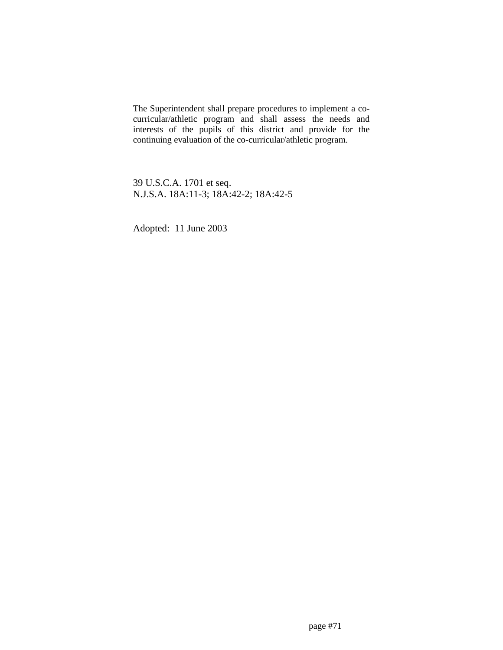The Superintendent shall prepare procedures to implement a cocurricular/athletic program and shall assess the needs and interests of the pupils of this district and provide for the continuing evaluation of the co-curricular/athletic program.

39 U.S.C.A. 1701 et seq. N.J.S.A. 18A:11-3; 18A:42-2; 18A:42-5

Adopted: 11 June 2003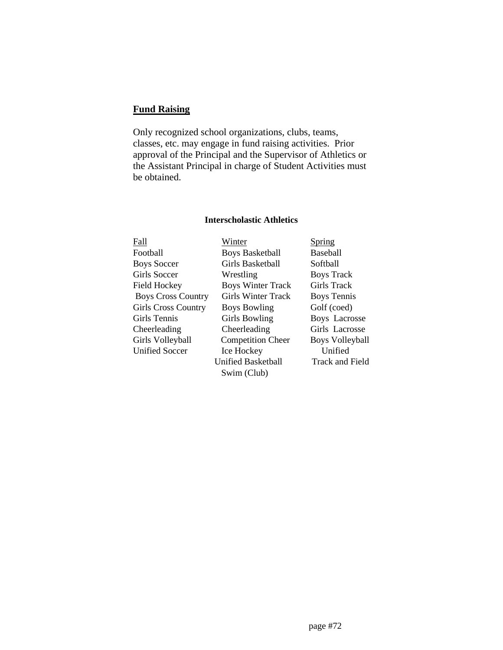# **Fund Raising**

Only recognized school organizations, clubs, teams, classes, etc. may engage in fund raising activities. Prior approval of the Principal and the Supervisor of Athletics or the Assistant Principal in charge of Student Activities must be obtained.

## **Interscholastic Athletics**

| Winter                    | <b>Spring</b>          |
|---------------------------|------------------------|
| <b>Boys Basketball</b>    | <b>Baseball</b>        |
| Girls Basketball          | Softball               |
| Wrestling                 | <b>Boys Track</b>      |
| <b>Boys Winter Track</b>  | Girls Track            |
| <b>Girls Winter Track</b> | <b>Boys Tennis</b>     |
| <b>Boys Bowling</b>       | Golf (coed)            |
| <b>Girls Bowling</b>      | <b>Boys Lacrosse</b>   |
| Cheerleading              | Girls Lacrosse         |
| <b>Competition Cheer</b>  | <b>Boys Volleyball</b> |
| Ice Hockey                | Unified                |
| <b>Unified Basketball</b> | Track and Field        |
| Swim (Club)               |                        |
|                           |                        |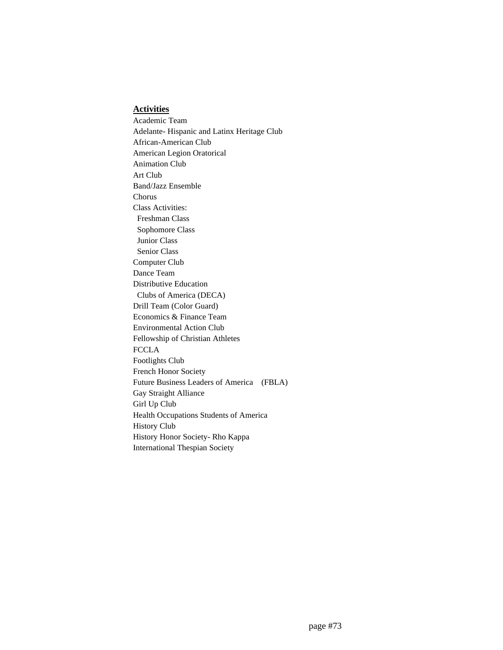#### **Activities**

Academic Team Adelante- Hispanic and Latinx Heritage Club African-American Club American Legion Oratorical Animation Club Art Club Band/Jazz Ensemble Chorus Class Activities: Freshman Class Sophomore Class Junior Class Senior Class Computer Club Dance Team Distributive Education Clubs of America (DECA) Drill Team (Color Guard) Economics & Finance Team Environmental Action Club Fellowship of Christian Athletes **FCCLA** Footlights Club French Honor Society Future Business Leaders of America (FBLA) Gay Straight Alliance Girl Up Club Health Occupations Students of America History Club History Honor Society- Rho Kappa International Thespian Society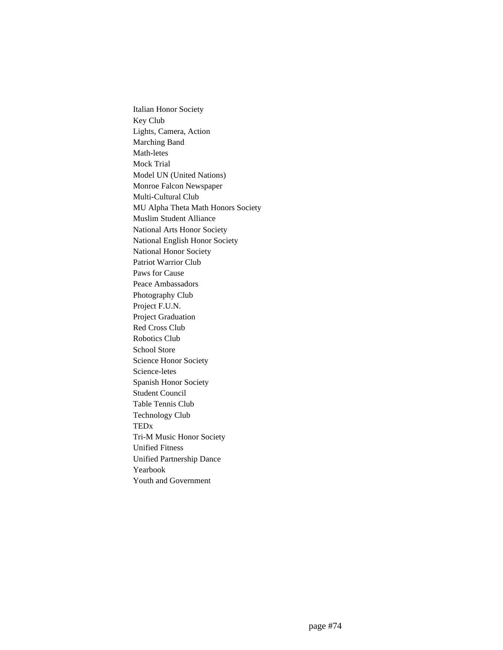Italian Honor Society Key Club Lights, Camera, Action Marching Band Math-letes Mock Trial Model UN (United Nations) Monroe Falcon Newspaper Multi-Cultural Club MU Alpha Theta Math Honors Society Muslim Student Alliance National Arts Honor Society National English Honor Society National Honor Society Patriot Warrior Club Paws for Cause Peace Ambassadors Photography Club Project F.U.N. Project Graduation Red Cross Club Robotics Club School Store Science Honor Society Science-letes Spanish Honor Society Student Council Table Tennis Club Technology Club TEDx Tri-M Music Honor Society Unified Fitness Unified Partnership Dance Yearbook Youth and Government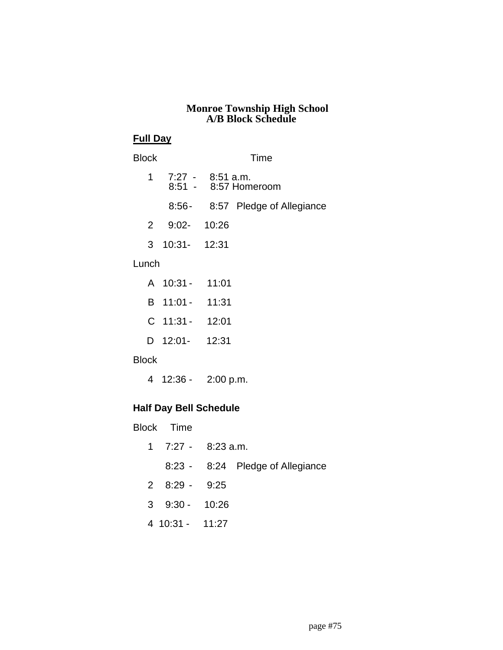#### **Monroe Township High School A/B Block Schedule**

#### **Full Day**

## Block Time

|   | 1 7:27 - 8:51 a.m. | 8:51 - 8:57 Homeroom            |
|---|--------------------|---------------------------------|
|   |                    | 8:56- 8:57 Pledge of Allegiance |
| 2 | $9:02 - 10:26$     |                                 |
|   | 3 10:31- 12:31     |                                 |
|   |                    |                                 |

## Lunch

| A 10:31 -   | 11:01 |
|-------------|-------|
| B 11:01 -   | 11:31 |
| $C$ 11:31 - | 12:01 |
| D 12:01-    | 12:31 |

### Block

4 12:36 - 2:00 p.m.

## **Half Day Bell Schedule**

Block Time

|                       | 1 $7:27 - 8:23$ a.m.             |  |
|-----------------------|----------------------------------|--|
|                       | 8:23 - 8:24 Pledge of Allegiance |  |
| $2 \quad 8:29 - 9:25$ |                                  |  |
| $3\quad 9:30 - 10:26$ |                                  |  |
| 4 10:31 - 11:27       |                                  |  |